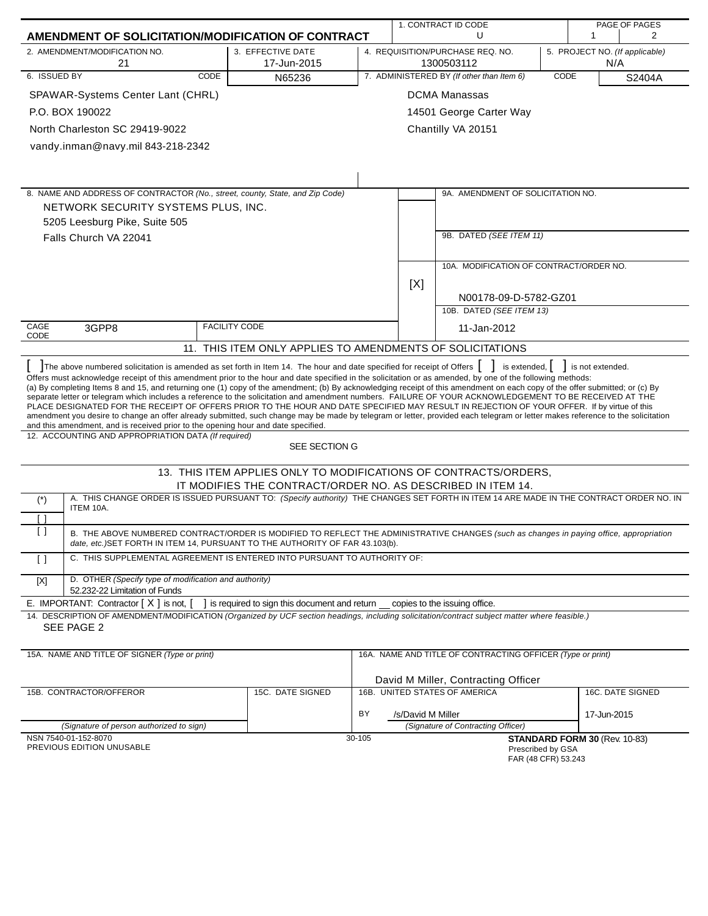|                    |                                                                                                                                                                                                                                                                                                                                                                                                                                                                                                                                                                                                                                                                                                                                                                                                                                                                                                                                                                                                                                                                                                             | 1. CONTRACT ID CODE                                              |        |                   | PAGE OF PAGES                                              |        |                                       |
|--------------------|-------------------------------------------------------------------------------------------------------------------------------------------------------------------------------------------------------------------------------------------------------------------------------------------------------------------------------------------------------------------------------------------------------------------------------------------------------------------------------------------------------------------------------------------------------------------------------------------------------------------------------------------------------------------------------------------------------------------------------------------------------------------------------------------------------------------------------------------------------------------------------------------------------------------------------------------------------------------------------------------------------------------------------------------------------------------------------------------------------------|------------------------------------------------------------------|--------|-------------------|------------------------------------------------------------|--------|---------------------------------------|
|                    | AMENDMENT OF SOLICITATION/MODIFICATION OF CONTRACT                                                                                                                                                                                                                                                                                                                                                                                                                                                                                                                                                                                                                                                                                                                                                                                                                                                                                                                                                                                                                                                          |                                                                  | U      |                   |                                                            | 1<br>2 |                                       |
|                    | 2. AMENDMENT/MODIFICATION NO.<br>21                                                                                                                                                                                                                                                                                                                                                                                                                                                                                                                                                                                                                                                                                                                                                                                                                                                                                                                                                                                                                                                                         | 3. EFFECTIVE DATE<br>17-Jun-2015                                 |        |                   | 4. REQUISITION/PURCHASE REQ. NO.<br>1300503112             |        | 5. PROJECT NO. (If applicable)<br>N/A |
| 6. ISSUED BY       | <b>CODE</b>                                                                                                                                                                                                                                                                                                                                                                                                                                                                                                                                                                                                                                                                                                                                                                                                                                                                                                                                                                                                                                                                                                 | N65236                                                           |        |                   | 7. ADMINISTERED BY (If other than Item 6)                  | CODE   | S2404A                                |
|                    | SPAWAR-Systems Center Lant (CHRL)                                                                                                                                                                                                                                                                                                                                                                                                                                                                                                                                                                                                                                                                                                                                                                                                                                                                                                                                                                                                                                                                           |                                                                  |        |                   | <b>DCMA Manassas</b>                                       |        |                                       |
|                    | P.O. BOX 190022                                                                                                                                                                                                                                                                                                                                                                                                                                                                                                                                                                                                                                                                                                                                                                                                                                                                                                                                                                                                                                                                                             |                                                                  |        |                   | 14501 George Carter Way                                    |        |                                       |
|                    | North Charleston SC 29419-9022                                                                                                                                                                                                                                                                                                                                                                                                                                                                                                                                                                                                                                                                                                                                                                                                                                                                                                                                                                                                                                                                              |                                                                  |        |                   | Chantilly VA 20151                                         |        |                                       |
|                    | vandy.inman@navy.mil 843-218-2342                                                                                                                                                                                                                                                                                                                                                                                                                                                                                                                                                                                                                                                                                                                                                                                                                                                                                                                                                                                                                                                                           |                                                                  |        |                   |                                                            |        |                                       |
|                    |                                                                                                                                                                                                                                                                                                                                                                                                                                                                                                                                                                                                                                                                                                                                                                                                                                                                                                                                                                                                                                                                                                             |                                                                  |        |                   |                                                            |        |                                       |
|                    |                                                                                                                                                                                                                                                                                                                                                                                                                                                                                                                                                                                                                                                                                                                                                                                                                                                                                                                                                                                                                                                                                                             |                                                                  |        |                   |                                                            |        |                                       |
|                    | 8. NAME AND ADDRESS OF CONTRACTOR (No., street, county, State, and Zip Code)                                                                                                                                                                                                                                                                                                                                                                                                                                                                                                                                                                                                                                                                                                                                                                                                                                                                                                                                                                                                                                |                                                                  |        |                   | 9A. AMENDMENT OF SOLICITATION NO.                          |        |                                       |
|                    | NETWORK SECURITY SYSTEMS PLUS, INC.                                                                                                                                                                                                                                                                                                                                                                                                                                                                                                                                                                                                                                                                                                                                                                                                                                                                                                                                                                                                                                                                         |                                                                  |        |                   |                                                            |        |                                       |
|                    | 5205 Leesburg Pike, Suite 505                                                                                                                                                                                                                                                                                                                                                                                                                                                                                                                                                                                                                                                                                                                                                                                                                                                                                                                                                                                                                                                                               |                                                                  |        |                   |                                                            |        |                                       |
|                    | Falls Church VA 22041                                                                                                                                                                                                                                                                                                                                                                                                                                                                                                                                                                                                                                                                                                                                                                                                                                                                                                                                                                                                                                                                                       |                                                                  |        |                   | 9B. DATED (SEE ITEM 11)                                    |        |                                       |
|                    |                                                                                                                                                                                                                                                                                                                                                                                                                                                                                                                                                                                                                                                                                                                                                                                                                                                                                                                                                                                                                                                                                                             |                                                                  |        |                   |                                                            |        |                                       |
|                    |                                                                                                                                                                                                                                                                                                                                                                                                                                                                                                                                                                                                                                                                                                                                                                                                                                                                                                                                                                                                                                                                                                             |                                                                  |        |                   | 10A. MODIFICATION OF CONTRACT/ORDER NO.                    |        |                                       |
|                    |                                                                                                                                                                                                                                                                                                                                                                                                                                                                                                                                                                                                                                                                                                                                                                                                                                                                                                                                                                                                                                                                                                             |                                                                  |        | [X]               |                                                            |        |                                       |
|                    |                                                                                                                                                                                                                                                                                                                                                                                                                                                                                                                                                                                                                                                                                                                                                                                                                                                                                                                                                                                                                                                                                                             |                                                                  |        |                   | N00178-09-D-5782-GZ01<br>10B. DATED (SEE ITEM 13)          |        |                                       |
|                    |                                                                                                                                                                                                                                                                                                                                                                                                                                                                                                                                                                                                                                                                                                                                                                                                                                                                                                                                                                                                                                                                                                             |                                                                  |        |                   |                                                            |        |                                       |
| CAGE<br>CODE       | 3GPP8                                                                                                                                                                                                                                                                                                                                                                                                                                                                                                                                                                                                                                                                                                                                                                                                                                                                                                                                                                                                                                                                                                       | <b>FACILITY CODE</b>                                             |        |                   | 11-Jan-2012                                                |        |                                       |
|                    |                                                                                                                                                                                                                                                                                                                                                                                                                                                                                                                                                                                                                                                                                                                                                                                                                                                                                                                                                                                                                                                                                                             | 11. THIS ITEM ONLY APPLIES TO AMENDMENTS OF SOLICITATIONS        |        |                   |                                                            |        |                                       |
|                    | The above numbered solicitation is amended as set forth in Item 14. The hour and date specified for receipt of Offers<br>Offers must acknowledge receipt of this amendment prior to the hour and date specified in the solicitation or as amended, by one of the following methods:<br>(a) By completing Items 8 and 15, and returning one (1) copy of the amendment; (b) By acknowledging receipt of this amendment on each copy of the offer submitted; or (c) By<br>separate letter or telegram which includes a reference to the solicitation and amendment numbers. FAILURE OF YOUR ACKNOWLEDGEMENT TO BE RECEIVED AT THE<br>PLACE DESIGNATED FOR THE RECEIPT OF OFFERS PRIOR TO THE HOUR AND DATE SPECIFIED MAY RESULT IN REJECTION OF YOUR OFFER. If by virtue of this<br>amendment you desire to change an offer already submitted, such change may be made by telegram or letter, provided each telegram or letter makes reference to the solicitation<br>and this amendment, and is received prior to the opening hour and date specified.<br>12. ACCOUNTING AND APPROPRIATION DATA (If required) | SEE SECTION G                                                    |        |                   | is extended,                                               |        | is not extended.                      |
|                    |                                                                                                                                                                                                                                                                                                                                                                                                                                                                                                                                                                                                                                                                                                                                                                                                                                                                                                                                                                                                                                                                                                             | 13. THIS ITEM APPLIES ONLY TO MODIFICATIONS OF CONTRACTS/ORDERS, |        |                   |                                                            |        |                                       |
|                    |                                                                                                                                                                                                                                                                                                                                                                                                                                                                                                                                                                                                                                                                                                                                                                                                                                                                                                                                                                                                                                                                                                             | IT MODIFIES THE CONTRACT/ORDER NO. AS DESCRIBED IN ITEM 14.      |        |                   |                                                            |        |                                       |
| $(*)$              | A. THIS CHANGE ORDER IS ISSUED PURSUANT TO: (Specify authority) THE CHANGES SET FORTH IN ITEM 14 ARE MADE IN THE CONTRACT ORDER NO. IN                                                                                                                                                                                                                                                                                                                                                                                                                                                                                                                                                                                                                                                                                                                                                                                                                                                                                                                                                                      |                                                                  |        |                   |                                                            |        |                                       |
| $\lceil$ $\rceil$  | ITEM 10A.                                                                                                                                                                                                                                                                                                                                                                                                                                                                                                                                                                                                                                                                                                                                                                                                                                                                                                                                                                                                                                                                                                   |                                                                  |        |                   |                                                            |        |                                       |
| $\left[ \ \right]$ | B. THE ABOVE NUMBERED CONTRACT/ORDER IS MODIFIED TO REFLECT THE ADMINISTRATIVE CHANGES (such as changes in paying office, appropriation<br>date, etc.) SET FORTH IN ITEM 14, PURSUANT TO THE AUTHORITY OF FAR 43.103(b).                                                                                                                                                                                                                                                                                                                                                                                                                                                                                                                                                                                                                                                                                                                                                                                                                                                                                    |                                                                  |        |                   |                                                            |        |                                       |
| $\lceil$ $\rceil$  | C. THIS SUPPLEMENTAL AGREEMENT IS ENTERED INTO PURSUANT TO AUTHORITY OF:                                                                                                                                                                                                                                                                                                                                                                                                                                                                                                                                                                                                                                                                                                                                                                                                                                                                                                                                                                                                                                    |                                                                  |        |                   |                                                            |        |                                       |
| $[{\sf X}]$        | D. OTHER (Specify type of modification and authority)<br>52.232-22 Limitation of Funds                                                                                                                                                                                                                                                                                                                                                                                                                                                                                                                                                                                                                                                                                                                                                                                                                                                                                                                                                                                                                      |                                                                  |        |                   |                                                            |        |                                       |
|                    | E. IMPORTANT: Contractor $[X]$ is not,                                                                                                                                                                                                                                                                                                                                                                                                                                                                                                                                                                                                                                                                                                                                                                                                                                                                                                                                                                                                                                                                      | is required to sign this document and return                     |        |                   | copies to the issuing office.                              |        |                                       |
|                    | 14. DESCRIPTION OF AMENDMENT/MODIFICATION (Organized by UCF section headings, including solicitation/contract subject matter where feasible.)                                                                                                                                                                                                                                                                                                                                                                                                                                                                                                                                                                                                                                                                                                                                                                                                                                                                                                                                                               |                                                                  |        |                   |                                                            |        |                                       |
|                    | SEE PAGE 2                                                                                                                                                                                                                                                                                                                                                                                                                                                                                                                                                                                                                                                                                                                                                                                                                                                                                                                                                                                                                                                                                                  |                                                                  |        |                   |                                                            |        |                                       |
|                    | 15A. NAME AND TITLE OF SIGNER (Type or print)                                                                                                                                                                                                                                                                                                                                                                                                                                                                                                                                                                                                                                                                                                                                                                                                                                                                                                                                                                                                                                                               |                                                                  |        |                   | 16A. NAME AND TITLE OF CONTRACTING OFFICER (Type or print) |        |                                       |
|                    |                                                                                                                                                                                                                                                                                                                                                                                                                                                                                                                                                                                                                                                                                                                                                                                                                                                                                                                                                                                                                                                                                                             |                                                                  |        |                   |                                                            |        |                                       |
|                    |                                                                                                                                                                                                                                                                                                                                                                                                                                                                                                                                                                                                                                                                                                                                                                                                                                                                                                                                                                                                                                                                                                             |                                                                  |        |                   | David M Miller, Contracting Officer                        |        |                                       |
|                    | 15B. CONTRACTOR/OFFEROR                                                                                                                                                                                                                                                                                                                                                                                                                                                                                                                                                                                                                                                                                                                                                                                                                                                                                                                                                                                                                                                                                     | 15C. DATE SIGNED                                                 |        |                   | 16B. UNITED STATES OF AMERICA                              |        | 16C. DATE SIGNED                      |
|                    |                                                                                                                                                                                                                                                                                                                                                                                                                                                                                                                                                                                                                                                                                                                                                                                                                                                                                                                                                                                                                                                                                                             |                                                                  | BY     | /s/David M Miller |                                                            |        | 17-Jun-2015                           |
|                    | (Signature of person authorized to sign)                                                                                                                                                                                                                                                                                                                                                                                                                                                                                                                                                                                                                                                                                                                                                                                                                                                                                                                                                                                                                                                                    |                                                                  |        |                   | (Signature of Contracting Officer)                         |        |                                       |
|                    | NSN 7540-01-152-8070<br>PREVIOUS EDITION UNUSABLE                                                                                                                                                                                                                                                                                                                                                                                                                                                                                                                                                                                                                                                                                                                                                                                                                                                                                                                                                                                                                                                           |                                                                  | 30-105 |                   | Prescribed by GSA<br>FAR (48 CFR) 53.243                   |        | STANDARD FORM 30 (Rev. 10-83)         |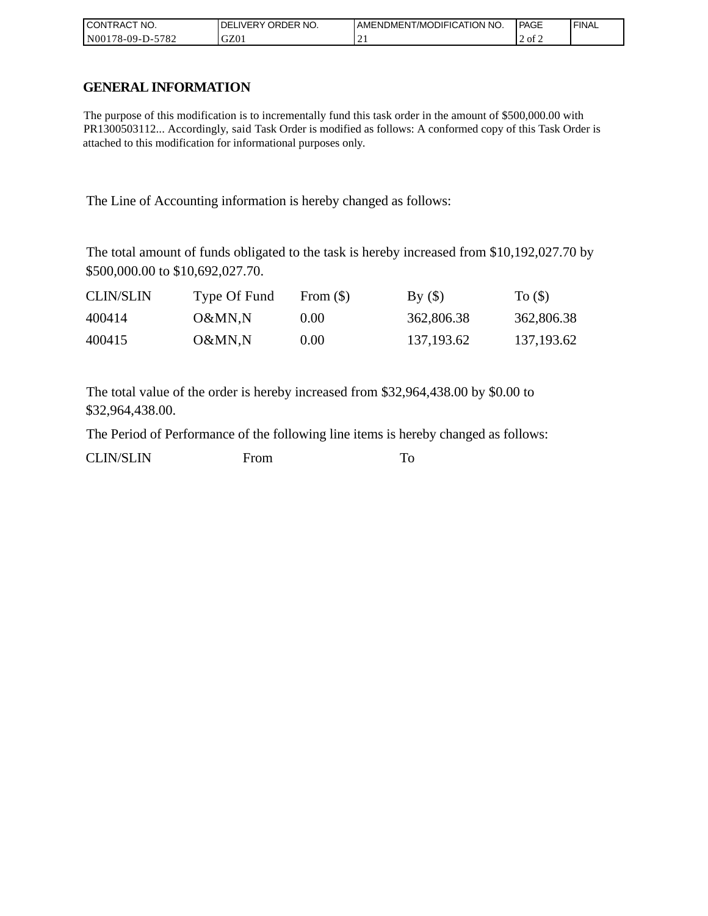| I CONTRACT NO.           | `NO.<br>DELIVERY ORDER | AMENDMENT/MODIFICATION NO. | PAGE   | ' FINAL |
|--------------------------|------------------------|----------------------------|--------|---------|
| N00178-09-D-5<br>$-5782$ | GZ01                   |                            | 2 of 2 |         |

# **GENERAL INFORMATION**

The purpose of this modification is to incrementally fund this task order in the amount of \$500,000.00 with PR1300503112... Accordingly, said Task Order is modified as follows: A conformed copy of this Task Order is attached to this modification for informational purposes only.

The Line of Accounting information is hereby changed as follows:

The total amount of funds obligated to the task is hereby increased from \$10,192,027.70 by \$500,000.00 to \$10,692,027.70.

| <b>CLIN/SLIN</b> | Type Of Fund | From $(\$)$    | By()         | To $($ )     |
|------------------|--------------|----------------|--------------|--------------|
| 400414           | O&MN.N       | $0.00^{\circ}$ | 362,806.38   | 362,806.38   |
| 400415           | 0&MN,N       | $0.00\,$       | 137, 193. 62 | 137, 193. 62 |

The total value of the order is hereby increased from \$32,964,438.00 by \$0.00 to \$32,964,438.00.

The Period of Performance of the following line items is hereby changed as follows:

| <b>CLIN/SLIN</b><br>From |  |
|--------------------------|--|
|--------------------------|--|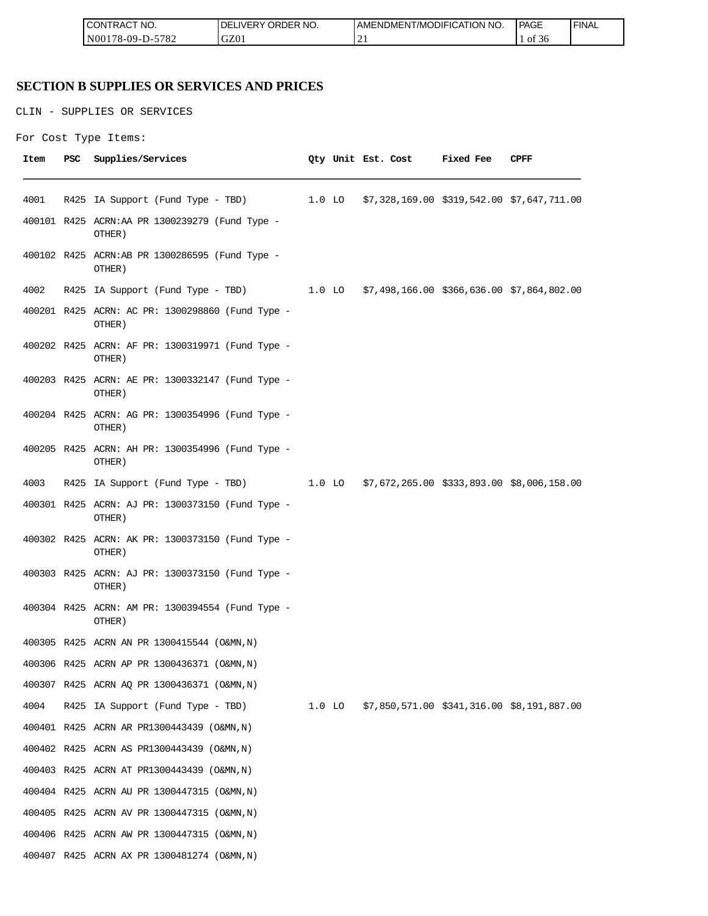| <b>CONTRACT NO.</b> | <b>IDELIVERY ORDER NO.</b> | AMENDMENT/MODIFICATION NO. | <b>PAGE</b>                   | 'FINAL |
|---------------------|----------------------------|----------------------------|-------------------------------|--------|
| N00178-09-D-5782    | GZ01                       | -                          | $\sim$ $\sim$ $\sim$<br>of 36 |        |

# **SECTION B SUPPLIES OR SERVICES AND PRICES**

CLIN - SUPPLIES OR SERVICES

For Cost Type Items:

| Item | PSC | Supplies/Services                                          |  | Qty Unit Est. Cost                                  | Fixed Fee | CPFF |
|------|-----|------------------------------------------------------------|--|-----------------------------------------------------|-----------|------|
| 4001 |     | R425 IA Support (Fund Type - TBD)                          |  | 1.0 LO \$7,328,169.00 \$319,542.00 \$7,647,711.00   |           |      |
|      |     | 400101 R425 ACRN:AA PR 1300239279 (Fund Type -<br>OTHER)   |  |                                                     |           |      |
|      |     | 400102 R425 ACRN:AB PR 1300286595 (Fund Type -<br>OTHER)   |  |                                                     |           |      |
| 4002 |     | R425 IA Support (Fund Type - TBD)                          |  | $1.0$ LO \$7,498,166.00 \$366,636.00 \$7,864,802.00 |           |      |
|      |     | 400201 R425 ACRN: AC PR: 1300298860 (Fund Type -<br>OTHER) |  |                                                     |           |      |
|      |     | 400202 R425 ACRN: AF PR: 1300319971 (Fund Type -<br>OTHER) |  |                                                     |           |      |
|      |     | 400203 R425 ACRN: AE PR: 1300332147 (Fund Type -<br>OTHER) |  |                                                     |           |      |
|      |     | 400204 R425 ACRN: AG PR: 1300354996 (Fund Type -<br>OTHER) |  |                                                     |           |      |
|      |     | 400205 R425 ACRN: AH PR: 1300354996 (Fund Type -<br>OTHER) |  |                                                     |           |      |
| 4003 |     | R425 IA Support (Fund Type - TBD)                          |  | 1.0 LO \$7,672,265.00 \$333,893.00 \$8,006,158.00   |           |      |
|      |     | 400301 R425 ACRN: AJ PR: 1300373150 (Fund Type -<br>OTHER) |  |                                                     |           |      |
|      |     | 400302 R425 ACRN: AK PR: 1300373150 (Fund Type -<br>OTHER) |  |                                                     |           |      |
|      |     | 400303 R425 ACRN: AJ PR: 1300373150 (Fund Type -<br>OTHER) |  |                                                     |           |      |
|      |     | 400304 R425 ACRN: AM PR: 1300394554 (Fund Type -<br>OTHER) |  |                                                     |           |      |
|      |     | 400305 R425 ACRN AN PR 1300415544 (O&MN, N)                |  |                                                     |           |      |
|      |     | 400306 R425 ACRN AP PR 1300436371 (O&MN, N)                |  |                                                     |           |      |
|      |     | 400307 R425 ACRN AQ PR 1300436371 (O&MN, N)                |  |                                                     |           |      |
| 4004 |     | R425 IA Support (Fund Type - TBD)                          |  | 1.0 LO \$7,850,571.00 \$341,316.00 \$8,191,887.00   |           |      |
|      |     | 400401 R425 ACRN AR PR1300443439 (O&MN, N)                 |  |                                                     |           |      |
|      |     | 400402 R425 ACRN AS PR1300443439 (O&MN, N)                 |  |                                                     |           |      |
|      |     | 400403 R425 ACRN AT PR1300443439 (O&MN, N)                 |  |                                                     |           |      |
|      |     | 400404 R425 ACRN AU PR 1300447315 (O&MN, N)                |  |                                                     |           |      |
|      |     | 400405 R425 ACRN AV PR 1300447315 (O&MN, N)                |  |                                                     |           |      |
|      |     | 400406 R425 ACRN AW PR 1300447315 (O&MN, N)                |  |                                                     |           |      |
|      |     | 400407 R425 ACRN AX PR 1300481274 (O&MN, N)                |  |                                                     |           |      |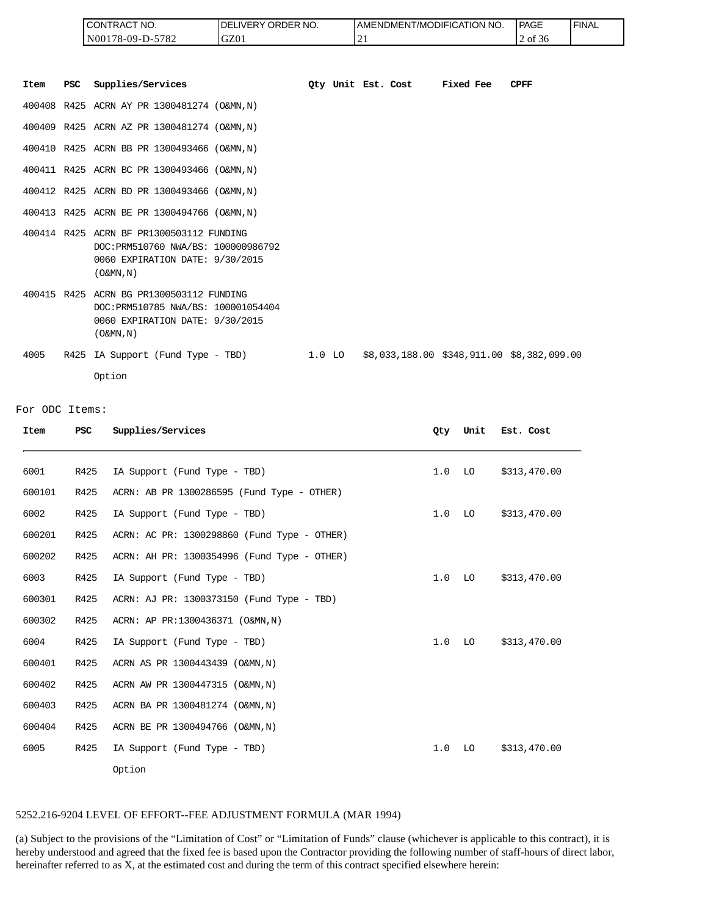| <b>ICONTRACT NO.</b> | I DELIVERY ORDER NO. | LAMENDMENT/MODIFICATION NO. | <b>PAGE</b> | ' FINAL |
|----------------------|----------------------|-----------------------------|-------------|---------|
| N00178-09-D-5782     | GZ01                 | -                           | 2 of 36     |         |

|      | Item PSC Supplies/Services                                                                                                              |          | Oty Unit Est. Cost | <b>Fixed Fee</b> | <b>CPFF</b>                                |
|------|-----------------------------------------------------------------------------------------------------------------------------------------|----------|--------------------|------------------|--------------------------------------------|
|      | 400408 R425 ACRN AY PR 1300481274 (O&MN, N)                                                                                             |          |                    |                  |                                            |
|      | 400409 R425 ACRN AZ PR 1300481274 (O&MN, N)                                                                                             |          |                    |                  |                                            |
|      | 400410 R425 ACRN BB PR 1300493466 (O&MN, N)                                                                                             |          |                    |                  |                                            |
|      | 400411 R425 ACRN BC PR 1300493466 (O&MN, N)                                                                                             |          |                    |                  |                                            |
|      | 400412 R425 ACRN BD PR 1300493466 (O&MN, N)                                                                                             |          |                    |                  |                                            |
|      | 400413 R425 ACRN BE PR 1300494766 (O&MN, N)                                                                                             |          |                    |                  |                                            |
|      | 400414 R425 ACRN BF PR1300503112 FUNDING<br>DOC: PRM510760 NWA/BS: 100000986792<br>0060 EXPIRATION DATE: 9/30/2015<br>$($ O&MN, $N$ $)$ |          |                    |                  |                                            |
|      | 400415 R425 ACRN BG PR1300503112 FUNDING<br>DOC: PRM510785 NWA/BS: 100001054404<br>0060 EXPIRATION DATE: 9/30/2015<br>$($ O&MN, $N$ $)$ |          |                    |                  |                                            |
| 4005 | R425 IA Support (Fund Type - TBD)                                                                                                       | $1.0$ LO |                    |                  | \$8,033,188.00 \$348,911.00 \$8,382,099.00 |

Option

#### For ODC Items:

| Item   | <b>PSC</b> | Supplies/Services                           | Qty | Unit | Est. Cost    |
|--------|------------|---------------------------------------------|-----|------|--------------|
| 6001   | R425       | IA Support (Fund Type - TBD)                | 1.0 | LO   | \$313,470.00 |
| 600101 | R425       | ACRN: AB PR 1300286595 (Fund Type - OTHER)  |     |      |              |
| 6002   | R425       | IA Support (Fund Type - TBD)                | 1.0 | LO   | \$313,470.00 |
| 600201 | R425       | ACRN: AC PR: 1300298860 (Fund Type - OTHER) |     |      |              |
| 600202 | R425       | ACRN: AH PR: 1300354996 (Fund Type - OTHER) |     |      |              |
| 6003   | R425       | IA Support (Fund Type - TBD)                | 1.0 | LO   | \$313,470.00 |
| 600301 | R425       | ACRN: AJ PR: 1300373150 (Fund Type - TBD)   |     |      |              |
| 600302 | R425       | ACRN: AP PR:1300436371 (O&MN, N)            |     |      |              |
| 6004   | R425       | IA Support (Fund Type - TBD)                | 1.0 | LO   | \$313,470.00 |
| 600401 | R425       | ACRN AS PR 1300443439 (O&MN, N)             |     |      |              |
| 600402 | R425       | ACRN AW PR 1300447315 (O&MN, N)             |     |      |              |
| 600403 | R425       | ACRN BA PR 1300481274 (O&MN, N)             |     |      |              |
| 600404 | R425       | ACRN BE PR 1300494766 (O&MN, N)             |     |      |              |
| 6005   | R425       | IA Support (Fund Type - TBD)                | 1.0 | LO   | \$313,470.00 |
|        |            | Option                                      |     |      |              |

#### 5252.216-9204 LEVEL OF EFFORT--FEE ADJUSTMENT FORMULA (MAR 1994)

(a) Subject to the provisions of the "Limitation of Cost" or "Limitation of Funds" clause (whichever is applicable to this contract), it is hereby understood and agreed that the fixed fee is based upon the Contractor providing the following number of staff-hours of direct labor, hereinafter referred to as X, at the estimated cost and during the term of this contract specified elsewhere herein: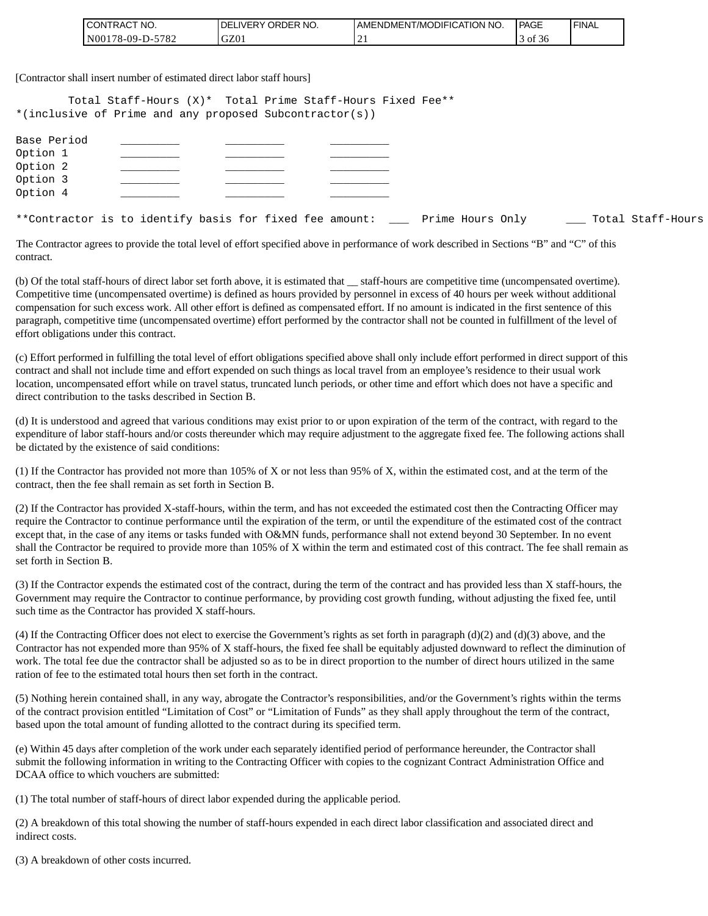| CT NO.<br><b>CONTRACT</b> | ORDER NO.<br>LIVERY .<br>DEL | LAMENDMENT/MODIFICATION NO. | <b>PAGE</b> | ' FINAL |
|---------------------------|------------------------------|-----------------------------|-------------|---------|
| N00178-09-D-5782          | GZ01                         | -<br><u>_</u>               | of 36       |         |

[Contractor shall insert number of estimated direct labor staff hours]

|                                                         |  |  | Total Staff-Hours (X)* Total Prime Staff-Hours Fixed Fee** |  |
|---------------------------------------------------------|--|--|------------------------------------------------------------|--|
| *(inclusive of Prime and any proposed Subcontractor(s)) |  |  |                                                            |  |

| Base Period                                             |  |  |  |                  |                   |
|---------------------------------------------------------|--|--|--|------------------|-------------------|
| Option 1                                                |  |  |  |                  |                   |
| Option 2                                                |  |  |  |                  |                   |
| Option 3                                                |  |  |  |                  |                   |
| Option 4                                                |  |  |  |                  |                   |
| **Contractor is to identify basis for fixed fee amount: |  |  |  | Prime Hours Only | Total Staff-Hours |

The Contractor agrees to provide the total level of effort specified above in performance of work described in Sections "B" and "C" of this contract.

(b) Of the total staff-hours of direct labor set forth above, it is estimated that \_\_ staff-hours are competitive time (uncompensated overtime). Competitive time (uncompensated overtime) is defined as hours provided by personnel in excess of 40 hours per week without additional compensation for such excess work. All other effort is defined as compensated effort. If no amount is indicated in the first sentence of this paragraph, competitive time (uncompensated overtime) effort performed by the contractor shall not be counted in fulfillment of the level of effort obligations under this contract.

(c) Effort performed in fulfilling the total level of effort obligations specified above shall only include effort performed in direct support of this contract and shall not include time and effort expended on such things as local travel from an employee's residence to their usual work location, uncompensated effort while on travel status, truncated lunch periods, or other time and effort which does not have a specific and direct contribution to the tasks described in Section B.

(d) It is understood and agreed that various conditions may exist prior to or upon expiration of the term of the contract, with regard to the expenditure of labor staff-hours and/or costs thereunder which may require adjustment to the aggregate fixed fee. The following actions shall be dictated by the existence of said conditions:

(1) If the Contractor has provided not more than 105% of X or not less than 95% of X, within the estimated cost, and at the term of the contract, then the fee shall remain as set forth in Section B.

(2) If the Contractor has provided X-staff-hours, within the term, and has not exceeded the estimated cost then the Contracting Officer may require the Contractor to continue performance until the expiration of the term, or until the expenditure of the estimated cost of the contract except that, in the case of any items or tasks funded with O&MN funds, performance shall not extend beyond 30 September. In no event shall the Contractor be required to provide more than 105% of X within the term and estimated cost of this contract. The fee shall remain as set forth in Section B.

(3) If the Contractor expends the estimated cost of the contract, during the term of the contract and has provided less than X staff-hours, the Government may require the Contractor to continue performance, by providing cost growth funding, without adjusting the fixed fee, until such time as the Contractor has provided X staff-hours.

(4) If the Contracting Officer does not elect to exercise the Government's rights as set forth in paragraph  $(d)(2)$  and  $(d)(3)$  above, and the Contractor has not expended more than 95% of X staff-hours, the fixed fee shall be equitably adjusted downward to reflect the diminution of work. The total fee due the contractor shall be adjusted so as to be in direct proportion to the number of direct hours utilized in the same ration of fee to the estimated total hours then set forth in the contract.

(5) Nothing herein contained shall, in any way, abrogate the Contractor's responsibilities, and/or the Government's rights within the terms of the contract provision entitled "Limitation of Cost" or "Limitation of Funds" as they shall apply throughout the term of the contract, based upon the total amount of funding allotted to the contract during its specified term.

(e) Within 45 days after completion of the work under each separately identified period of performance hereunder, the Contractor shall submit the following information in writing to the Contracting Officer with copies to the cognizant Contract Administration Office and DCAA office to which vouchers are submitted:

(1) The total number of staff-hours of direct labor expended during the applicable period.

(2) A breakdown of this total showing the number of staff-hours expended in each direct labor classification and associated direct and indirect costs.

(3) A breakdown of other costs incurred.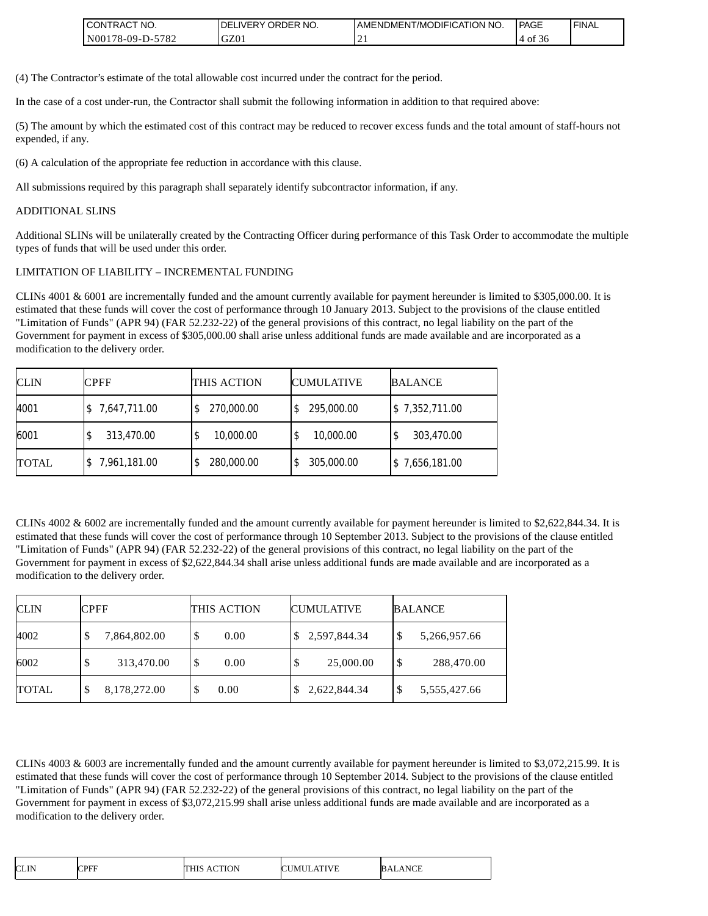| " NO.<br>ICONTRAC,                                         | <b>ORDER</b><br>NO.<br><b>LIVERY</b><br>DE | <b>I AMENDMENT/MODIFICATION NO.</b> | l PAGE       | ' FINAL |
|------------------------------------------------------------|--------------------------------------------|-------------------------------------|--------------|---------|
| 5782<br>N <sub>00</sub><br>$^{\circ}$ 178-09-D- $_{\circ}$ | GZ01                                       | -                                   | 4 of<br>- 36 |         |

(4) The Contractor's estimate of the total allowable cost incurred under the contract for the period.

In the case of a cost under-run, the Contractor shall submit the following information in addition to that required above:

(5) The amount by which the estimated cost of this contract may be reduced to recover excess funds and the total amount of staff-hours not expended, if any.

(6) A calculation of the appropriate fee reduction in accordance with this clause.

All submissions required by this paragraph shall separately identify subcontractor information, if any.

#### ADDITIONAL SLINS

Additional SLINs will be unilaterally created by the Contracting Officer during performance of this Task Order to accommodate the multiple types of funds that will be used under this order.

#### LIMITATION OF LIABILITY – INCREMENTAL FUNDING

CLINs 4001 & 6001 are incrementally funded and the amount currently available for payment hereunder is limited to \$305,000.00. It is estimated that these funds will cover the cost of performance through 10 January 2013. Subject to the provisions of the clause entitled "Limitation of Funds" (APR 94) (FAR 52.232-22) of the general provisions of this contract, no legal liability on the part of the Government for payment in excess of \$305,000.00 shall arise unless additional funds are made available and are incorporated as a modification to the delivery order.

| <b>CLIN</b>  | <b>CPFF</b>    | THIS ACTION      | <b>CUMULATIVE</b> | <b>BALANCE</b> |
|--------------|----------------|------------------|-------------------|----------------|
| 4001         | \$7,647,711.00 | 270,000.00       | 295,000.00        | \$7,352,711.00 |
| 6001         | 313,470.00     | 10,000.00        | 10,000.00         | 303,470.00     |
| <b>TOTAL</b> | 7,961,181.00   | 280,000.00<br>\$ | 305,000.00        | \$7,656,181.00 |

CLINs  $4002 \& 6002$  are incrementally funded and the amount currently available for payment hereunder is limited to \$2,622,844.34. It is estimated that these funds will cover the cost of performance through 10 September 2013. Subject to the provisions of the clause entitled "Limitation of Funds" (APR 94) (FAR 52.232-22) of the general provisions of this contract, no legal liability on the part of the Government for payment in excess of \$2,622,844.34 shall arise unless additional funds are made available and are incorporated as a modification to the delivery order.

| <b>CLIN</b>  | <b>CPFF</b>       | THIS ACTION | <b>CUMULATIVE</b> | <b>BALANCE</b>     |
|--------------|-------------------|-------------|-------------------|--------------------|
| 4002         | 7,864,802.00      | 0.00        | 2,597,844.34      | 5,266,957.66<br>\$ |
| 6002         | 313,470.00        | 0.00<br>S   | 25,000.00<br>D    | \$<br>288,470.00   |
| <b>TOTAL</b> | 8,178,272.00<br>D | 0.00        | 2,622,844.34      | 5,555,427.66<br>\$ |

CLINs 4003 & 6003 are incrementally funded and the amount currently available for payment hereunder is limited to \$3,072,215.99. It is estimated that these funds will cover the cost of performance through 10 September 2014. Subject to the provisions of the clause entitled "Limitation of Funds" (APR 94) (FAR 52.232-22) of the general provisions of this contract, no legal liability on the part of the Government for payment in excess of \$3,072,215.99 shall arise unless additional funds are made available and are incorporated as a modification to the delivery order.

| <b>CLIN</b><br>$\cap$ PFF<br>~~ | <b>ACTION</b><br>THIS | <b>CUMULATIVE</b> | <b>BALANCE</b> |  |
|---------------------------------|-----------------------|-------------------|----------------|--|
|---------------------------------|-----------------------|-------------------|----------------|--|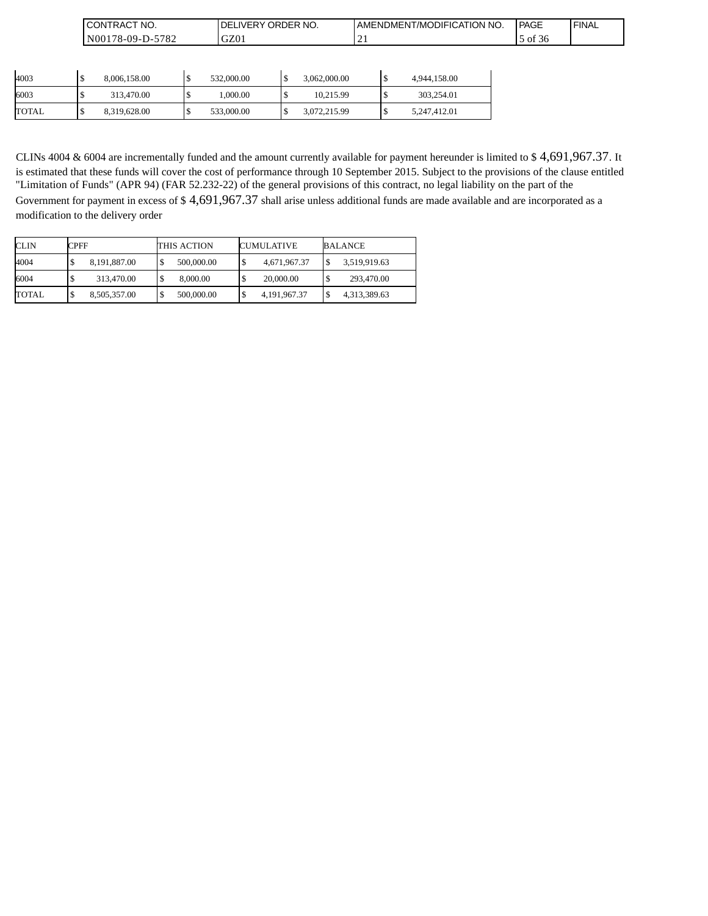| CT NO.<br><b>CONT</b><br>⊺RAC                                     | ORDER NO.<br>DF<br><b>NERY</b> | AMENDMENT/MODIFICATION I<br>`NO. | ' PAGE                            | <b>FINAL</b> |
|-------------------------------------------------------------------|--------------------------------|----------------------------------|-----------------------------------|--------------|
| $570^{\circ}$<br>N001<br>`78-09-l<br>r<br>$'$ O $\angle$<br>ு ப−் | GZ01                           | <u>_</u>                         | $\sim$ $\sim$ $\sim$<br>0t<br>-50 |              |

| 4003         | 8,006,158.00 | 532,000.00 | 3,062,000.00 | 4,944,158,00 |
|--------------|--------------|------------|--------------|--------------|
| 6003         | 313,470.00   | .000.00    | 10.215.99    | 303,254.01   |
| <b>TOTAL</b> | 8.319.628.00 | 533,000.00 | 3,072,215.99 | 5,247,412.01 |

CLINs 4004 & 6004 are incrementally funded and the amount currently available for payment hereunder is limited to \$ 4,691,967.37. It is estimated that these funds will cover the cost of performance through 10 September 2015. Subject to the provisions of the clause entitled "Limitation of Funds" (APR 94) (FAR 52.232-22) of the general provisions of this contract, no legal liability on the part of the Government for payment in excess of \$ 4,691,967.37 shall arise unless additional funds are made available and are incorporated as a modification to the delivery order

| <b>CLIN</b> | CPFF         | THIS ACTION | <b>CUMULATIVE</b>  | <b>BALANCE</b>   |
|-------------|--------------|-------------|--------------------|------------------|
| 4004        | 8.191.887.00 | 500,000.00  | 4,671,967.37<br>-8 | 3,519,919.63     |
| 6004        | 313,470.00   | 8,000.00    | 20,000.00          | 293,470.00<br>۱J |
| TOTAL       | 8,505,357.00 | 500,000.00  | 4,191,967.37<br>ъ  | 4,313,389.63     |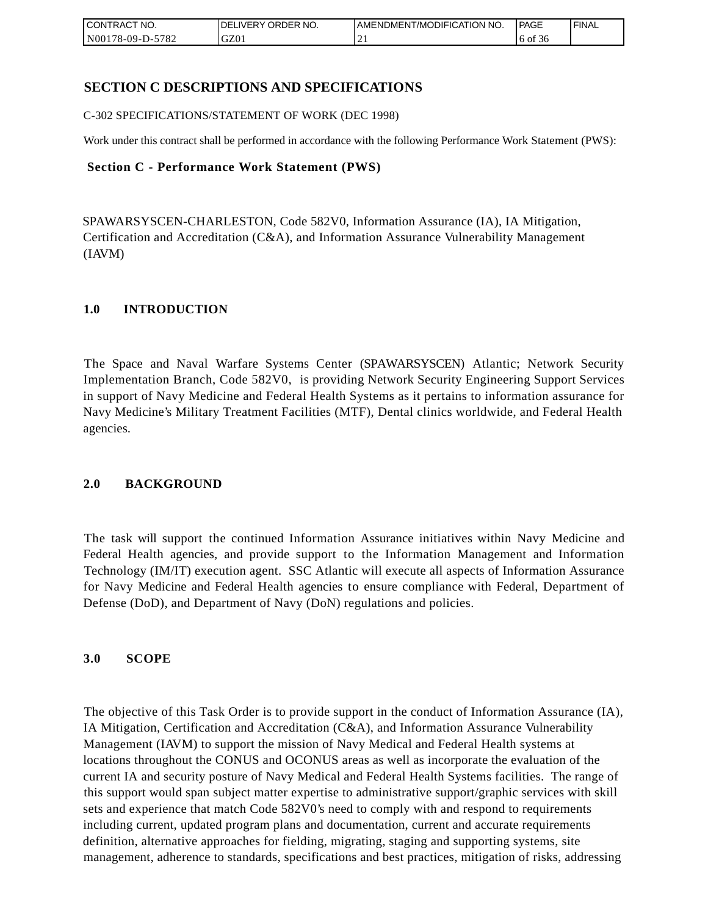| CONTRACT<br>°CT NO.   | NO.<br>' ORDER<br><b>DELIVERY</b> | AMENDMENT/MODIFICATION NO. | <b>PAGE</b> | ' FINAL |
|-----------------------|-----------------------------------|----------------------------|-------------|---------|
| N00178-09-D-5<br>5782 | GZ01                              | . .                        | '6 of 36    |         |

# **SECTION C DESCRIPTIONS AND SPECIFICATIONS**

C-302 SPECIFICATIONS/STATEMENT OF WORK (DEC 1998)

Work under this contract shall be performed in accordance with the following Performance Work Statement (PWS):

#### **Section C - Performance Work Statement (PWS)**

SPAWARSYSCEN-CHARLESTON, Code 582V0, Information Assurance (IA), IA Mitigation, Certification and Accreditation (C&A), and Information Assurance Vulnerability Management (IAVM)

### **1.0 INTRODUCTION**

The Space and Naval Warfare Systems Center (SPAWARSYSCEN) Atlantic; Network Security Implementation Branch, Code 582V0, is providing Network Security Engineering Support Services in support of Navy Medicine and Federal Health Systems as it pertains to information assurance for Navy Medicine's Military Treatment Facilities (MTF), Dental clinics worldwide, and Federal Health agencies.

### **2.0 BACKGROUND**

The task will support the continued Information Assurance initiatives within Navy Medicine and Federal Health agencies, and provide support to the Information Management and Information Technology (IM/IT) execution agent. SSC Atlantic will execute all aspects of Information Assurance for Navy Medicine and Federal Health agencies to ensure compliance with Federal, Department of Defense (DoD), and Department of Navy (DoN) regulations and policies.

### **3.0 SCOPE**

The objective of this Task Order is to provide support in the conduct of Information Assurance (IA), IA Mitigation, Certification and Accreditation (C&A), and Information Assurance Vulnerability Management (IAVM) to support the mission of Navy Medical and Federal Health systems at locations throughout the CONUS and OCONUS areas as well as incorporate the evaluation of the current IA and security posture of Navy Medical and Federal Health Systems facilities. The range of this support would span subject matter expertise to administrative support/graphic services with skill sets and experience that match Code 582V0's need to comply with and respond to requirements including current, updated program plans and documentation, current and accurate requirements definition, alternative approaches for fielding, migrating, staging and supporting systems, site management, adherence to standards, specifications and best practices, mitigation of risks, addressing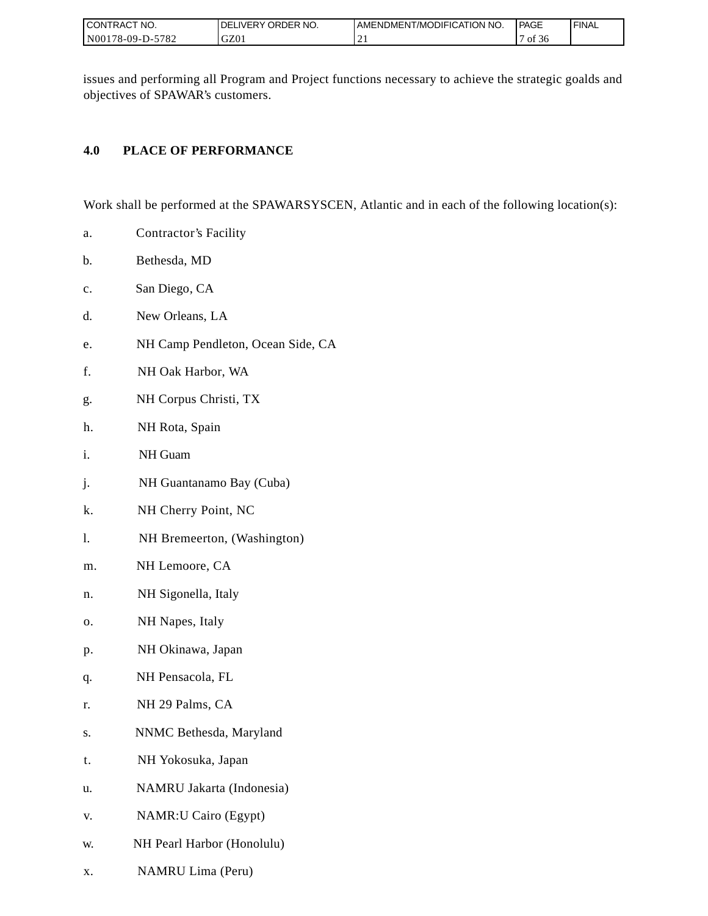| I CONTRACT NO.        | ORDER NO.<br><b>IVERY</b><br>DEI | I AMENDMENT/MODIFICATION NO. | PAGE     | <b>FINAL</b> |
|-----------------------|----------------------------------|------------------------------|----------|--------------|
| N001<br>*78-09-D-5782 | GZ01                             | <u>.</u>                     | ΟĪ<br>эc |              |

issues and performing all Program and Project functions necessary to achieve the strategic goalds and objectives of SPAWAR's customers.

### **4.0 PLACE OF PERFORMANCE**

Work shall be performed at the SPAWARSYSCEN, Atlantic and in each of the following location(s):

- a. Contractor's Facility
- b. Bethesda, MD
- c. San Diego, CA
- d. New Orleans, LA
- e. NH Camp Pendleton, Ocean Side, CA
- f. NH Oak Harbor, WA
- g. NH Corpus Christi, TX
- h. NH Rota, Spain
- i. NH Guam
- j. NH Guantanamo Bay (Cuba)
- k. NH Cherry Point, NC
- l. NH Bremeerton, (Washington)
- m. NH Lemoore, CA
- n. NH Sigonella, Italy
- o. NH Napes, Italy
- p. NH Okinawa, Japan
- q. NH Pensacola, FL
- r. NH 29 Palms, CA
- s. NNMC Bethesda, Maryland
- t. NH Yokosuka, Japan
- u. NAMRU Jakarta (Indonesia)
- v. NAMR:U Cairo (Egypt)
- w. NH Pearl Harbor (Honolulu)
- x. NAMRU Lima (Peru)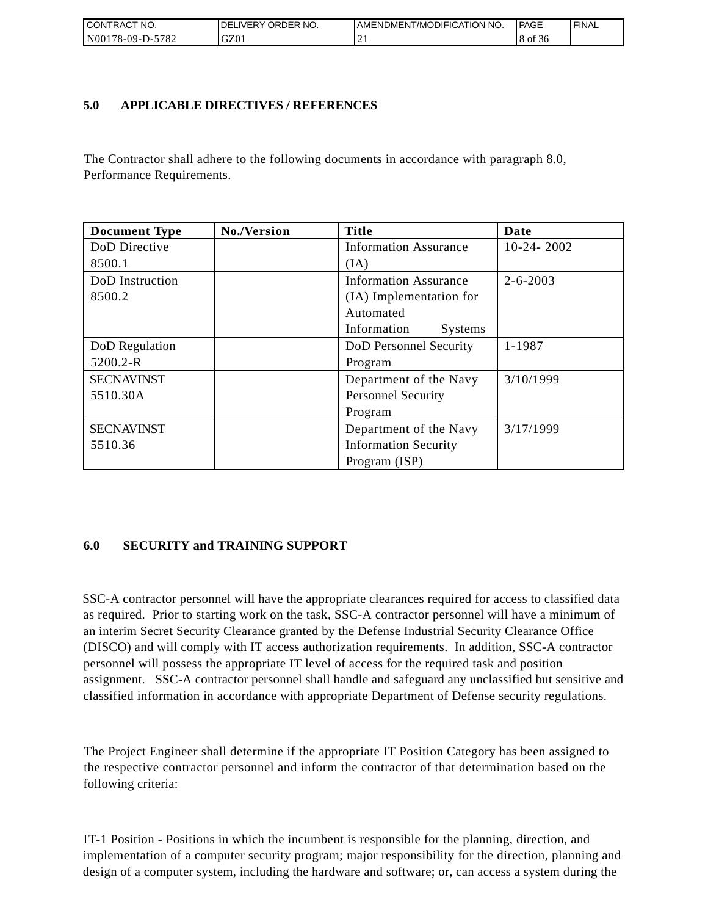| CONTRACT<br>CT NO.   | DELIVERY ORDER NO. | AMENDMENT/MODIFICATION NO. | PAGE         | ' FINAL |
|----------------------|--------------------|----------------------------|--------------|---------|
| N001<br>78-09-D-5782 | GZ01               |                            | 8 of<br>- 50 |         |

### **5.0 APPLICABLE DIRECTIVES / REFERENCES**

The Contractor shall adhere to the following documents in accordance with paragraph 8.0, Performance Requirements.

| <b>Document Type</b> | No./Version | <b>Title</b>                  | Date           |
|----------------------|-------------|-------------------------------|----------------|
| DoD Directive        |             | <b>Information Assurance</b>  | $10-24-2002$   |
| 8500.1               |             | (IA)                          |                |
| DoD Instruction      |             | <b>Information Assurance</b>  | $2 - 6 - 2003$ |
| 8500.2               |             | (IA) Implementation for       |                |
|                      |             | Automated                     |                |
|                      |             | Information<br><b>Systems</b> |                |
| DoD Regulation       |             | DoD Personnel Security        | 1-1987         |
| 5200.2-R             |             | Program                       |                |
| <b>SECNAVINST</b>    |             | Department of the Navy        | 3/10/1999      |
| 5510.30A             |             | <b>Personnel Security</b>     |                |
|                      |             | Program                       |                |
| <b>SECNAVINST</b>    |             | Department of the Navy        | 3/17/1999      |
| 5510.36              |             | <b>Information Security</b>   |                |
|                      |             | Program (ISP)                 |                |

# **6.0 SECURITY and TRAINING SUPPORT**

SSC-A contractor personnel will have the appropriate clearances required for access to classified data as required. Prior to starting work on the task, SSC-A contractor personnel will have a minimum of an interim Secret Security Clearance granted by the Defense Industrial Security Clearance Office (DISCO) and will comply with IT access authorization requirements. In addition, SSC-A contractor personnel will possess the appropriate IT level of access for the required task and position assignment. SSC-A contractor personnel shall handle and safeguard any unclassified but sensitive and classified information in accordance with appropriate Department of Defense security regulations.

The Project Engineer shall determine if the appropriate IT Position Category has been assigned to the respective contractor personnel and inform the contractor of that determination based on the following criteria:

IT-1 Position - Positions in which the incumbent is responsible for the planning, direction, and implementation of a computer security program; major responsibility for the direction, planning and design of a computer system, including the hardware and software; or, can access a system during the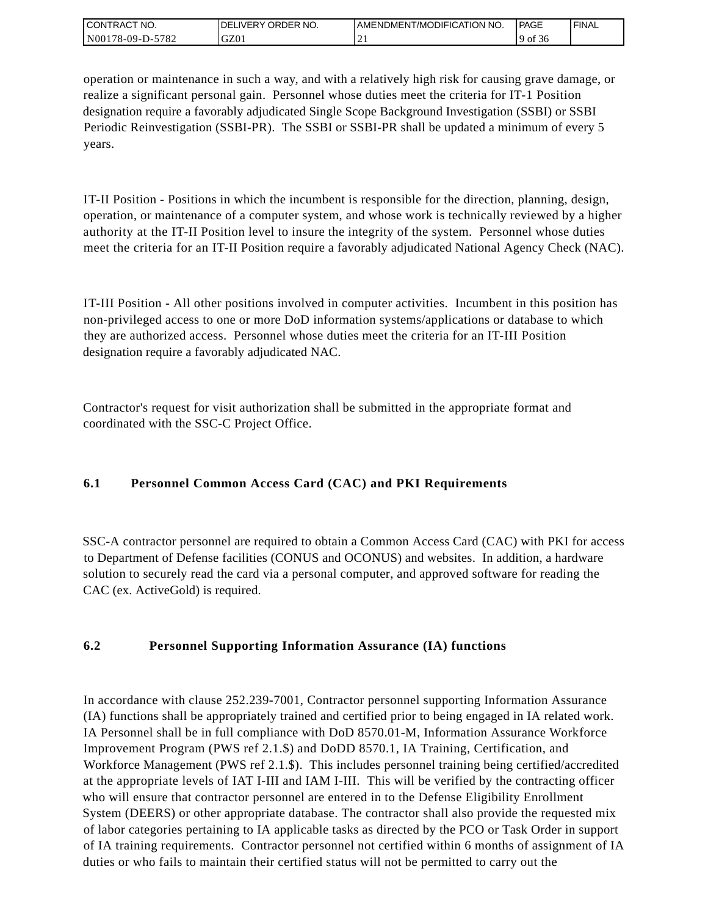| <b>CONTRACT NO.</b>            | NO.<br>DELIVERY ORDER | AMENDMENT/MODIFICATION NO. | PAGE        | <b>I FINAL</b> |
|--------------------------------|-----------------------|----------------------------|-------------|----------------|
| 5782<br>N001<br>78-09-I<br>ב-⊂ | GZ01                  | . .                        | 9 of<br>.36 |                |

operation or maintenance in such a way, and with a relatively high risk for causing grave damage, or realize a significant personal gain. Personnel whose duties meet the criteria for IT-1 Position designation require a favorably adjudicated Single Scope Background Investigation (SSBI) or SSBI Periodic Reinvestigation (SSBI-PR). The SSBI or SSBI-PR shall be updated a minimum of every 5 years.

IT-II Position - Positions in which the incumbent is responsible for the direction, planning, design, operation, or maintenance of a computer system, and whose work is technically reviewed by a higher authority at the IT-II Position level to insure the integrity of the system. Personnel whose duties meet the criteria for an IT-II Position require a favorably adjudicated National Agency Check (NAC).

IT-III Position - All other positions involved in computer activities. Incumbent in this position has non-privileged access to one or more DoD information systems/applications or database to which they are authorized access. Personnel whose duties meet the criteria for an IT-III Position designation require a favorably adjudicated NAC.

Contractor's request for visit authorization shall be submitted in the appropriate format and coordinated with the SSC-C Project Office.

# **6.1 Personnel Common Access Card (CAC) and PKI Requirements**

SSC-A contractor personnel are required to obtain a Common Access Card (CAC) with PKI for access to Department of Defense facilities (CONUS and OCONUS) and websites. In addition, a hardware solution to securely read the card via a personal computer, and approved software for reading the CAC (ex. ActiveGold) is required.

# **6.2 Personnel Supporting Information Assurance (IA) functions**

In accordance with clause 252.239-7001, Contractor personnel supporting Information Assurance (IA) functions shall be appropriately trained and certified prior to being engaged in IA related work. IA Personnel shall be in full compliance with DoD 8570.01-M, Information Assurance Workforce Improvement Program (PWS ref 2.1.\$) and DoDD 8570.1, IA Training, Certification, and Workforce Management (PWS ref 2.1.\$). This includes personnel training being certified/accredited at the appropriate levels of IAT I-III and IAM I-III. This will be verified by the contracting officer who will ensure that contractor personnel are entered in to the Defense Eligibility Enrollment System (DEERS) or other appropriate database. The contractor shall also provide the requested mix of labor categories pertaining to IA applicable tasks as directed by the PCO or Task Order in support of IA training requirements. Contractor personnel not certified within 6 months of assignment of IA duties or who fails to maintain their certified status will not be permitted to carry out the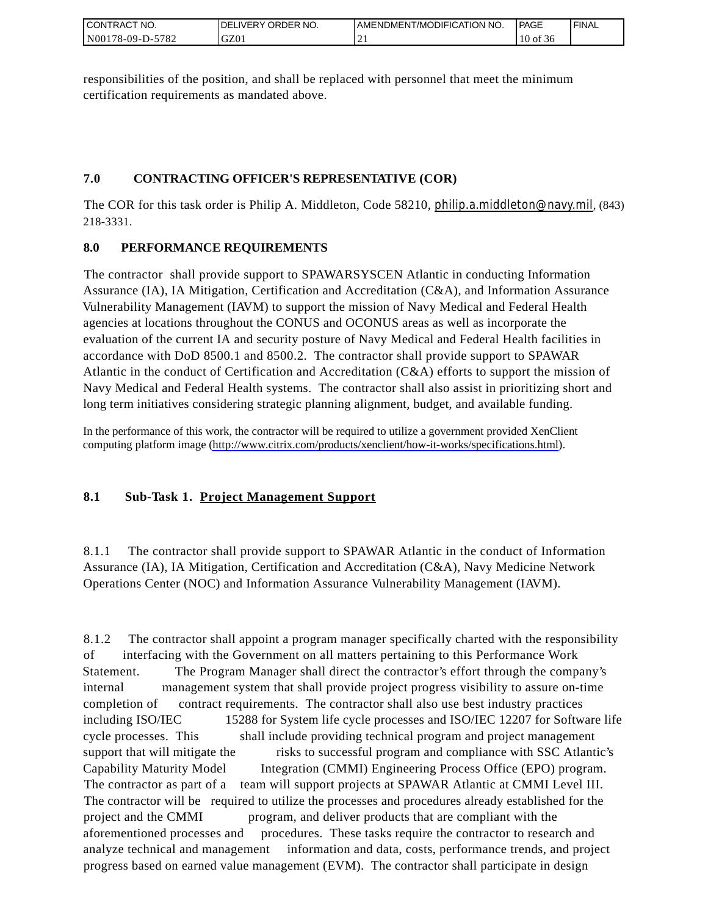| CONTRACT<br>°CT NO.      | NO.<br>' ORDER<br><b>DELIVERY</b> | AMENDMENT/MODIFICATION NO. | <b>PAGE</b>     | ' FINAL |
|--------------------------|-----------------------------------|----------------------------|-----------------|---------|
| $-5782$<br>N00178-09-D-5 | GZ01                              | . .                        | $10$ of<br>- 50 |         |

responsibilities of the position, and shall be replaced with personnel that meet the minimum certification requirements as mandated above.

# **7.0 CONTRACTING OFFICER'S REPRESENTATIVE (COR)**

The COR for this task order is Philip A. Middleton, Code 58210, [philip.a.middleton@navy.mil](mailto:cphilip.a.middleton@navy.mil), (843) 218-3331.

# **8.0 PERFORMANCE REQUIREMENTS**

The contractor shall provide support to SPAWARSYSCEN Atlantic in conducting Information Assurance (IA), IA Mitigation, Certification and Accreditation (C&A), and Information Assurance Vulnerability Management (IAVM) to support the mission of Navy Medical and Federal Health agencies at locations throughout the CONUS and OCONUS areas as well as incorporate the evaluation of the current IA and security posture of Navy Medical and Federal Health facilities in accordance with DoD 8500.1 and 8500.2. The contractor shall provide support to SPAWAR Atlantic in the conduct of Certification and Accreditation (C&A) efforts to support the mission of Navy Medical and Federal Health systems. The contractor shall also assist in prioritizing short and long term initiatives considering strategic planning alignment, budget, and available funding.

In the performance of this work, the contractor will be required to utilize a government provided XenClient computing platform image [\(http://www.citrix.com/products/xenclient/how-it-works/specifications.html\)](http://www.citrix.com/products/xenclient/how-it-works/specifications.html).

# **8.1 Sub-Task 1. Project Management Support**

8.1.1 The contractor shall provide support to SPAWAR Atlantic in the conduct of Information Assurance (IA), IA Mitigation, Certification and Accreditation (C&A), Navy Medicine Network Operations Center (NOC) and Information Assurance Vulnerability Management (IAVM).

8.1.2 The contractor shall appoint a program manager specifically charted with the responsibility of interfacing with the Government on all matters pertaining to this Performance Work Statement. The Program Manager shall direct the contractor's effort through the company's internal management system that shall provide project progress visibility to assure on-time completion of contract requirements. The contractor shall also use best industry practices including ISO/IEC 15288 for System life cycle processes and ISO/IEC 12207 for Software life cycle processes. This shall include providing technical program and project management support that will mitigate the risks to successful program and compliance with SSC Atlantic's Capability Maturity Model Integration (CMMI) Engineering Process Office (EPO) program. The contractor as part of a team will support projects at SPAWAR Atlantic at CMMI Level III. The contractor will be required to utilize the processes and procedures already established for the project and the CMMI program, and deliver products that are compliant with the aforementioned processes and procedures. These tasks require the contractor to research and analyze technical and management information and data, costs, performance trends, and project progress based on earned value management (EVM). The contractor shall participate in design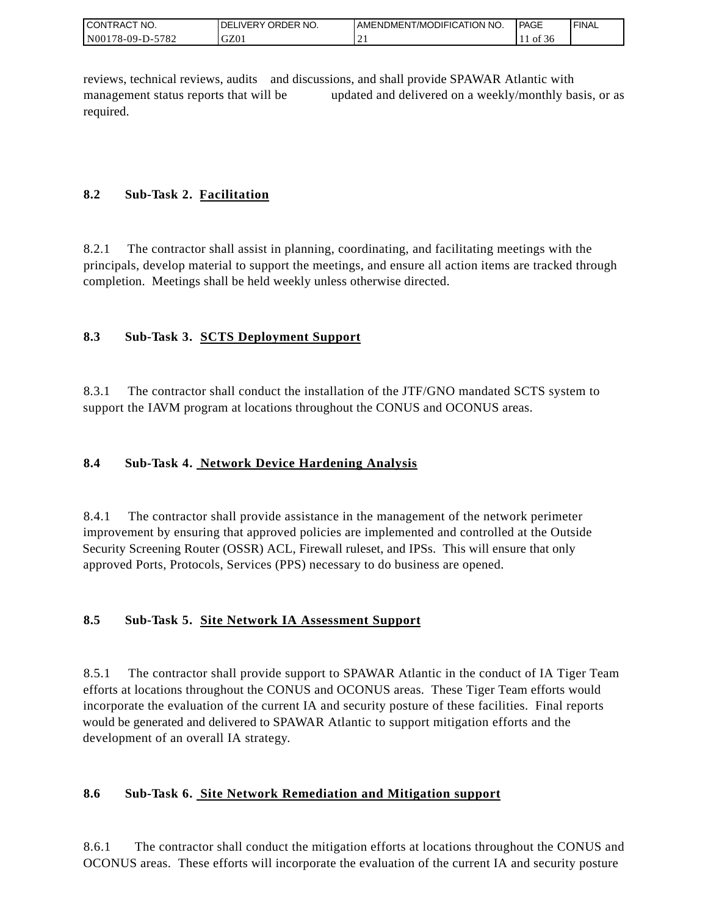| <b>I CONTRACT NO.</b> | ' ORDER NO.<br><b>DELIVERY</b> | <b>I AMENDMENT/MODIFICATION NO.</b> | PAGE  | <b>FINAL</b> |
|-----------------------|--------------------------------|-------------------------------------|-------|--------------|
| N00178-09-D-5782      | GZ0.                           | <u>_</u>                            | of 56 |              |

reviews, technical reviews, audits and discussions, and shall provide SPAWAR Atlantic with management status reports that will be updated and delivered on a weekly/monthly basis, or as required.

# **8.2 Sub-Task 2. Facilitation**

8.2.1 The contractor shall assist in planning, coordinating, and facilitating meetings with the principals, develop material to support the meetings, and ensure all action items are tracked through completion. Meetings shall be held weekly unless otherwise directed.

# **8.3 Sub-Task 3. SCTS Deployment Support**

8.3.1 The contractor shall conduct the installation of the JTF/GNO mandated SCTS system to support the IAVM program at locations throughout the CONUS and OCONUS areas.

# **8.4 Sub-Task 4. Network Device Hardening Analysis**

8.4.1 The contractor shall provide assistance in the management of the network perimeter improvement by ensuring that approved policies are implemented and controlled at the Outside Security Screening Router (OSSR) ACL, Firewall ruleset, and IPSs. This will ensure that only approved Ports, Protocols, Services (PPS) necessary to do business are opened.

# **8.5 Sub-Task 5. Site Network IA Assessment Support**

8.5.1 The contractor shall provide support to SPAWAR Atlantic in the conduct of IA Tiger Team efforts at locations throughout the CONUS and OCONUS areas. These Tiger Team efforts would incorporate the evaluation of the current IA and security posture of these facilities. Final reports would be generated and delivered to SPAWAR Atlantic to support mitigation efforts and the development of an overall IA strategy.

# **8.6 Sub-Task 6. Site Network Remediation and Mitigation support**

8.6.1 The contractor shall conduct the mitigation efforts at locations throughout the CONUS and OCONUS areas. These efforts will incorporate the evaluation of the current IA and security posture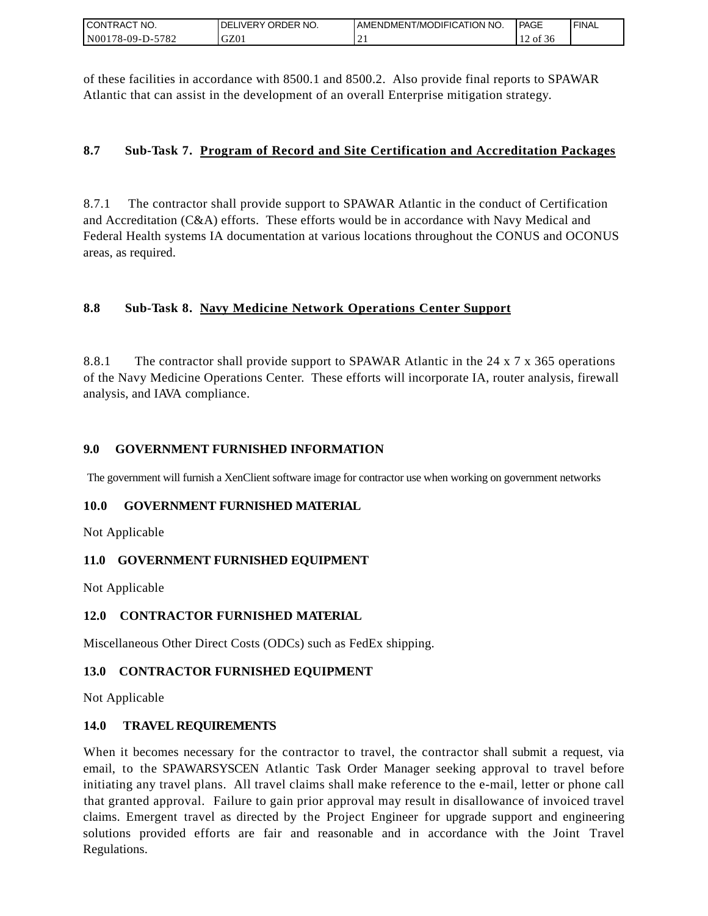| I CONTRACT NO.   | <b>DELIVERY ORDER NO.</b> | I AMENDMENT/MODIFICATION NO. | PAGE  | 'FINAL |
|------------------|---------------------------|------------------------------|-------|--------|
| N00178-09-D-5782 | GZ01                      | ∼                            | of 36 |        |

of these facilities in accordance with 8500.1 and 8500.2. Also provide final reports to SPAWAR Atlantic that can assist in the development of an overall Enterprise mitigation strategy.

### **8.7 Sub-Task 7. Program of Record and Site Certification and Accreditation Packages**

8.7.1 The contractor shall provide support to SPAWAR Atlantic in the conduct of Certification and Accreditation (C&A) efforts. These efforts would be in accordance with Navy Medical and Federal Health systems IA documentation at various locations throughout the CONUS and OCONUS areas, as required.

# **8.8 Sub-Task 8. Navy Medicine Network Operations Center Support**

8.8.1 The contractor shall provide support to SPAWAR Atlantic in the 24 x 7 x 365 operations of the Navy Medicine Operations Center. These efforts will incorporate IA, router analysis, firewall analysis, and IAVA compliance.

### **9.0 GOVERNMENT FURNISHED INFORMATION**

The government will furnish a XenClient software image for contractor use when working on government networks

### **10.0 GOVERNMENT FURNISHED MATERIAL**

Not Applicable

### **11.0 GOVERNMENT FURNISHED EQUIPMENT**

Not Applicable

### **12.0 CONTRACTOR FURNISHED MATERIAL**

Miscellaneous Other Direct Costs (ODCs) such as FedEx shipping.

### **13.0 CONTRACTOR FURNISHED EQUIPMENT**

Not Applicable

### **14.0 TRAVEL REQUIREMENTS**

CONTRACT NO.<br>
NO0178-09-D-5<br>
CONTRACT NO.<br>
NO0178-09-D-5<br>
Of these facili<br>
Atlantic that of<br>
8.7 Sub-1<br>
8.7 Sub-1<br>
8.7 Sub-1<br>
8.8 Sub-1<br>
8.8 Sub-1<br>
8.8 Sub-1<br>
8.8.1 The of the Navy M<br>
8.8.1 The of the Navy M<br>
analysis, and When it becomes necessary for the contractor to travel, the contractor shall submit a request, via email, to the SPAWARSYSCEN Atlantic Task Order Manager seeking approval to travel before initiating any travel plans. All travel claims shall make reference to the e-mail, letter or phone call that granted approval. Failure to gain prior approval may result in disallowance of invoiced travel claims. Emergent travel as directed by the Project Engineer for upgrade support and engineering solutions provided efforts are fair and reasonable and in accordance with the Joint Travel Regulations.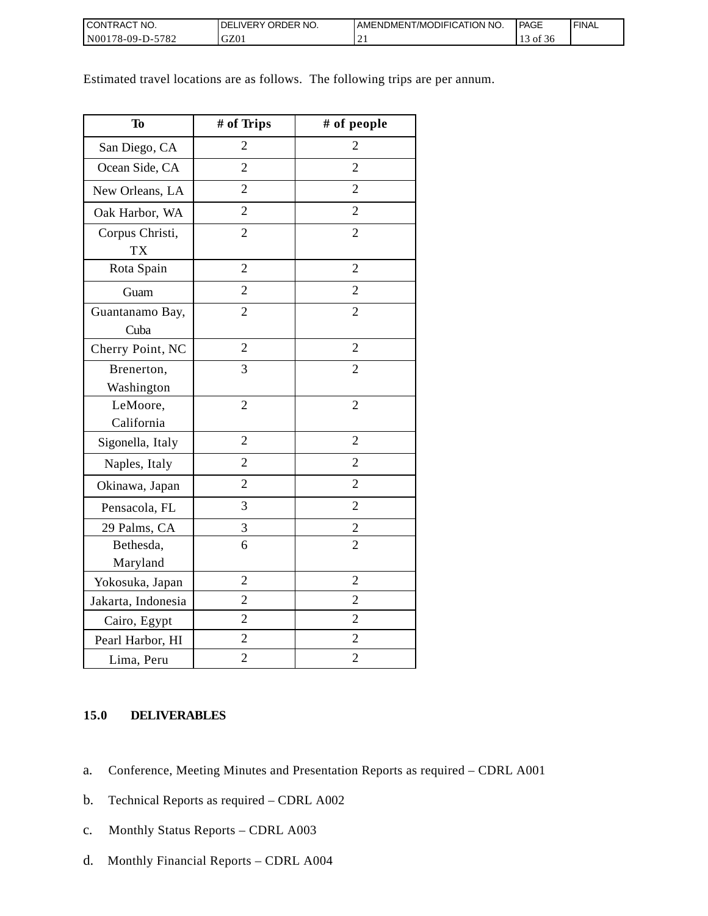| <b>I CONTRACT NO.</b> | DELIVERY ORDER NO. | AMENDMENT/MODIFICATION NO. | <b>PAGE</b> | ' FINAL |
|-----------------------|--------------------|----------------------------|-------------|---------|
| N00178-09-D-5782      | GZ01               |                            | οt<br>- 50  |         |

Estimated travel locations are as follows. The following trips are per annum.

| <b>To</b>                    | # of Trips     | # of people    |
|------------------------------|----------------|----------------|
| San Diego, CA                | $\overline{2}$ | $\overline{2}$ |
| Ocean Side, CA               | $\overline{2}$ | $\overline{2}$ |
| New Orleans, LA              | $\overline{2}$ | $\overline{2}$ |
| Oak Harbor, WA               | $\overline{2}$ | $\overline{2}$ |
| Corpus Christi,<br><b>TX</b> | $\overline{2}$ | $\overline{2}$ |
| Rota Spain                   | $\overline{2}$ | $\overline{2}$ |
| Guam                         | $\overline{2}$ | $\overline{c}$ |
| Guantanamo Bay,<br>Cuba      | $\overline{2}$ | $\overline{2}$ |
| Cherry Point, NC             | $\overline{2}$ | $\overline{2}$ |
| Brenerton,<br>Washington     | 3              | $\overline{2}$ |
| LeMoore,<br>California       | $\overline{2}$ | $\overline{2}$ |
| Sigonella, Italy             | $\overline{2}$ | $\overline{2}$ |
| Naples, Italy                | $\overline{2}$ | $\overline{2}$ |
| Okinawa, Japan               | $\overline{2}$ | $\overline{2}$ |
| Pensacola, FL                | 3              | $\overline{2}$ |
| 29 Palms, CA                 | 3              | 2              |
| Bethesda,<br>Maryland        | 6              | $\overline{2}$ |
| Yokosuka, Japan              | $\overline{2}$ | $\overline{2}$ |
| Jakarta, Indonesia           | $\overline{2}$ | $\overline{2}$ |
| Cairo, Egypt                 | $\overline{2}$ | $\overline{2}$ |
| Pearl Harbor, HI             | $\overline{2}$ | $\overline{c}$ |
| Lima, Peru                   | $\overline{2}$ | $\overline{2}$ |

### **15.0 DELIVERABLES**

- a. Conference, Meeting Minutes and Presentation Reports as required CDRL A001
- b. Technical Reports as required CDRL A002
- c. Monthly Status Reports CDRL A003
- d. Monthly Financial Reports CDRL A004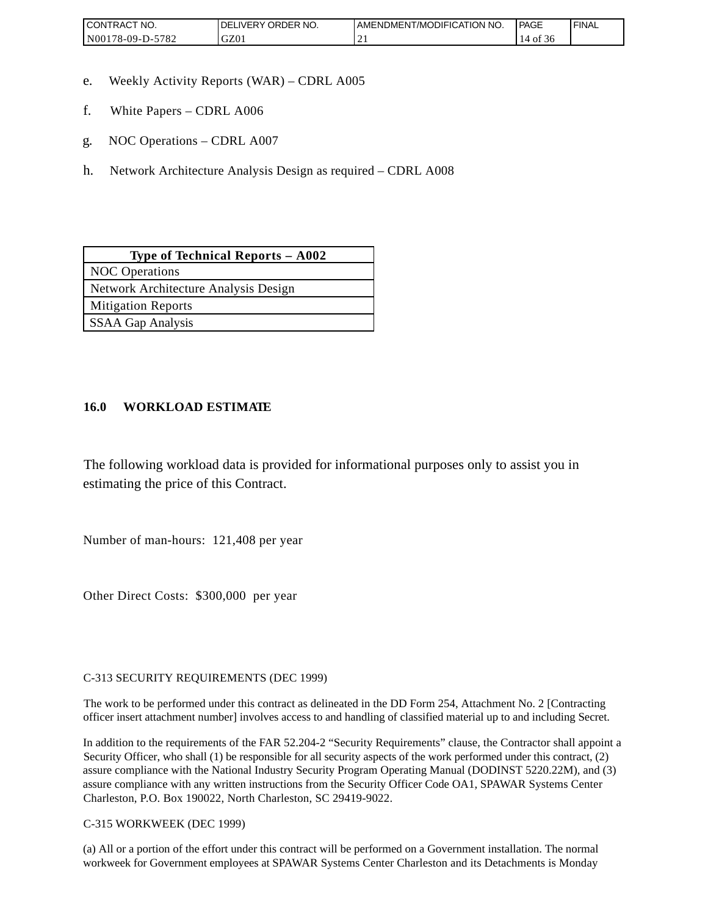| <b>CONTRAC</b><br>'NO.          | NO.<br><b>ORDER</b><br><b>DELIVERY</b> | AMENDMENT/MODIFICATION NO. | <b>PAGE</b>  | 'FINAL |
|---------------------------------|----------------------------------------|----------------------------|--------------|--------|
| 5700<br>N00<br>78-09-D-.<br>104 | $\sim$<br>JZUI                         | . .                        | - OI<br>- 20 |        |

- e. Weekly Activity Reports (WAR) CDRL A005
- f. White Papers CDRL A006
- g. NOC Operations CDRL A007
- h. Network Architecture Analysis Design as required CDRL A008

| Type of Technical Reports $-$ A002   |  |  |
|--------------------------------------|--|--|
| <b>NOC</b> Operations                |  |  |
| Network Architecture Analysis Design |  |  |
| <b>Mitigation Reports</b>            |  |  |
| <b>SSAA Gap Analysis</b>             |  |  |

### **16.0 WORKLOAD ESTIMATE**

The following workload data is provided for informational purposes only to assist you in estimating the price of this Contract.

Number of man-hours: 121,408 per year

Other Direct Costs: \$300,000 per year

C-313 SECURITY REQUIREMENTS (DEC 1999)

The work to be performed under this contract as delineated in the DD Form 254, Attachment No. 2 [Contracting officer insert attachment number] involves access to and handling of classified material up to and including Secret.

In addition to the requirements of the FAR 52.204-2 "Security Requirements" clause, the Contractor shall appoint a Security Officer, who shall (1) be responsible for all security aspects of the work performed under this contract, (2) assure compliance with the National Industry Security Program Operating Manual (DODINST 5220.22M), and (3) assure compliance with any written instructions from the Security Officer Code OA1, SPAWAR Systems Center Charleston, P.O. Box 190022, North Charleston, SC 29419-9022.

C-315 WORKWEEK (DEC 1999)

(a) All or a portion of the effort under this contract will be performed on a Government installation. The normal workweek for Government employees at SPAWAR Systems Center Charleston and its Detachments is Monday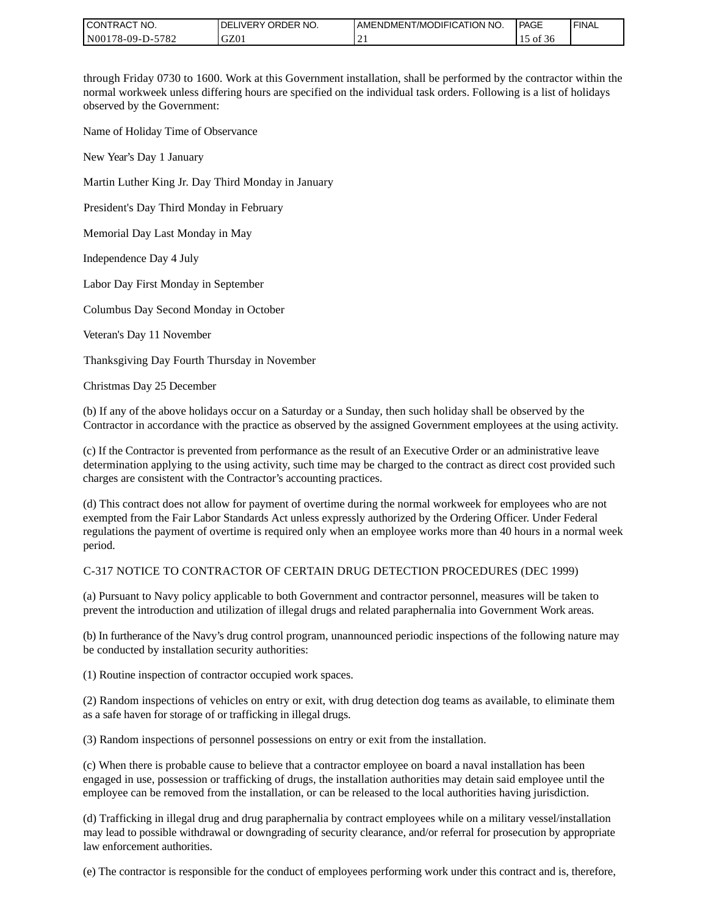| <b>I CONTRACT NO.</b> | ' ORDER NO.<br><b>DELIVERY</b> | I AMENDMENT/MODIFICATION NO. | PAGE  | <b>FINAL</b> |
|-----------------------|--------------------------------|------------------------------|-------|--------------|
| N00178-09-D-5782      | GZ0                            | -                            | 01 50 |              |

through Friday 0730 to 1600. Work at this Government installation, shall be performed by the contractor within the normal workweek unless differing hours are specified on the individual task orders. Following is a list of holidays observed by the Government:

Name of Holiday Time of Observance

New Year's Day 1 January

Martin Luther King Jr. Day Third Monday in January

President's Day Third Monday in February

Memorial Day Last Monday in May

Independence Day 4 July

Labor Day First Monday in September

Columbus Day Second Monday in October

Veteran's Day 11 November

Thanksgiving Day Fourth Thursday in November

Christmas Day 25 December

(b) If any of the above holidays occur on a Saturday or a Sunday, then such holiday shall be observed by the Contractor in accordance with the practice as observed by the assigned Government employees at the using activity.

(c) If the Contractor is prevented from performance as the result of an Executive Order or an administrative leave determination applying to the using activity, such time may be charged to the contract as direct cost provided such charges are consistent with the Contractor's accounting practices.

(d) This contract does not allow for payment of overtime during the normal workweek for employees who are not exempted from the Fair Labor Standards Act unless expressly authorized by the Ordering Officer. Under Federal regulations the payment of overtime is required only when an employee works more than 40 hours in a normal week period.

#### C-317 NOTICE TO CONTRACTOR OF CERTAIN DRUG DETECTION PROCEDURES (DEC 1999)

(a) Pursuant to Navy policy applicable to both Government and contractor personnel, measures will be taken to prevent the introduction and utilization of illegal drugs and related paraphernalia into Government Work areas.

(b) In furtherance of the Navy's drug control program, unannounced periodic inspections of the following nature may be conducted by installation security authorities:

(1) Routine inspection of contractor occupied work spaces.

(2) Random inspections of vehicles on entry or exit, with drug detection dog teams as available, to eliminate them as a safe haven for storage of or trafficking in illegal drugs.

(3) Random inspections of personnel possessions on entry or exit from the installation.

(c) When there is probable cause to believe that a contractor employee on board a naval installation has been engaged in use, possession or trafficking of drugs, the installation authorities may detain said employee until the employee can be removed from the installation, or can be released to the local authorities having jurisdiction.

(d) Trafficking in illegal drug and drug paraphernalia by contract employees while on a military vessel/installation may lead to possible withdrawal or downgrading of security clearance, and/or referral for prosecution by appropriate law enforcement authorities.

(e) The contractor is responsible for the conduct of employees performing work under this contract and is, therefore,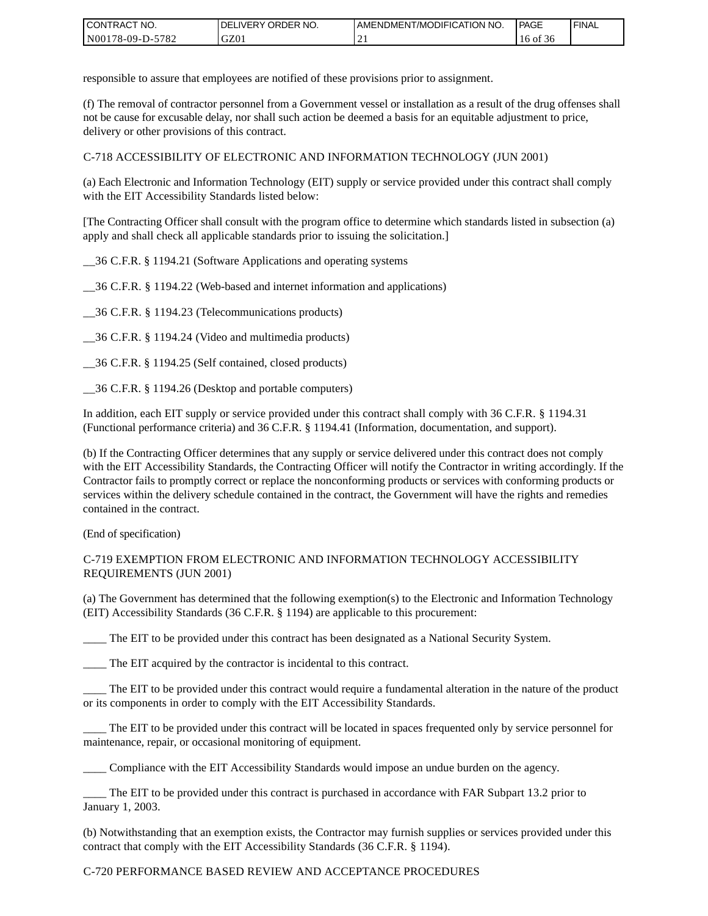| CONTRACT<br>°CT NO.      | NO.<br>' ORDER<br><b>DELIVERY</b> | AMENDMENT/MODIFICATION NO. | <b>PAGE</b>   | ' FINAL |
|--------------------------|-----------------------------------|----------------------------|---------------|---------|
| N00178-09-D-5<br>$-5782$ | GZ01                              | . .                        | 16 of<br>- 50 |         |

responsible to assure that employees are notified of these provisions prior to assignment.

(f) The removal of contractor personnel from a Government vessel or installation as a result of the drug offenses shall not be cause for excusable delay, nor shall such action be deemed a basis for an equitable adjustment to price, delivery or other provisions of this contract.

C-718 ACCESSIBILITY OF ELECTRONIC AND INFORMATION TECHNOLOGY (JUN 2001)

(a) Each Electronic and Information Technology (EIT) supply or service provided under this contract shall comply with the EIT Accessibility Standards listed below:

[The Contracting Officer shall consult with the program office to determine which standards listed in subsection (a) apply and shall check all applicable standards prior to issuing the solicitation.]

\_\_36 C.F.R. § 1194.21 (Software Applications and operating systems

\_\_36 C.F.R. § 1194.22 (Web-based and internet information and applications)

\_\_36 C.F.R. § 1194.23 (Telecommunications products)

\_\_36 C.F.R. § 1194.24 (Video and multimedia products)

\_\_36 C.F.R. § 1194.25 (Self contained, closed products)

\_\_36 C.F.R. § 1194.26 (Desktop and portable computers)

In addition, each EIT supply or service provided under this contract shall comply with 36 C.F.R. § 1194.31 (Functional performance criteria) and 36 C.F.R. § 1194.41 (Information, documentation, and support).

(b) If the Contracting Officer determines that any supply or service delivered under this contract does not comply with the EIT Accessibility Standards, the Contracting Officer will notify the Contractor in writing accordingly. If the Contractor fails to promptly correct or replace the nonconforming products or services with conforming products or services within the delivery schedule contained in the contract, the Government will have the rights and remedies contained in the contract.

(End of specification)

#### C-719 EXEMPTION FROM ELECTRONIC AND INFORMATION TECHNOLOGY ACCESSIBILITY REQUIREMENTS (JUN 2001)

(a) The Government has determined that the following exemption(s) to the Electronic and Information Technology (EIT) Accessibility Standards (36 C.F.R. § 1194) are applicable to this procurement:

The EIT to be provided under this contract has been designated as a National Security System.

\_\_\_\_ The EIT acquired by the contractor is incidental to this contract.

\_\_\_\_ The EIT to be provided under this contract would require a fundamental alteration in the nature of the product or its components in order to comply with the EIT Accessibility Standards.

The EIT to be provided under this contract will be located in spaces frequented only by service personnel for maintenance, repair, or occasional monitoring of equipment.

\_\_\_\_ Compliance with the EIT Accessibility Standards would impose an undue burden on the agency.

\_\_\_\_ The EIT to be provided under this contract is purchased in accordance with FAR Subpart 13.2 prior to January 1, 2003.

(b) Notwithstanding that an exemption exists, the Contractor may furnish supplies or services provided under this contract that comply with the EIT Accessibility Standards (36 C.F.R. § 1194).

#### C-720 PERFORMANCE BASED REVIEW AND ACCEPTANCE PROCEDURES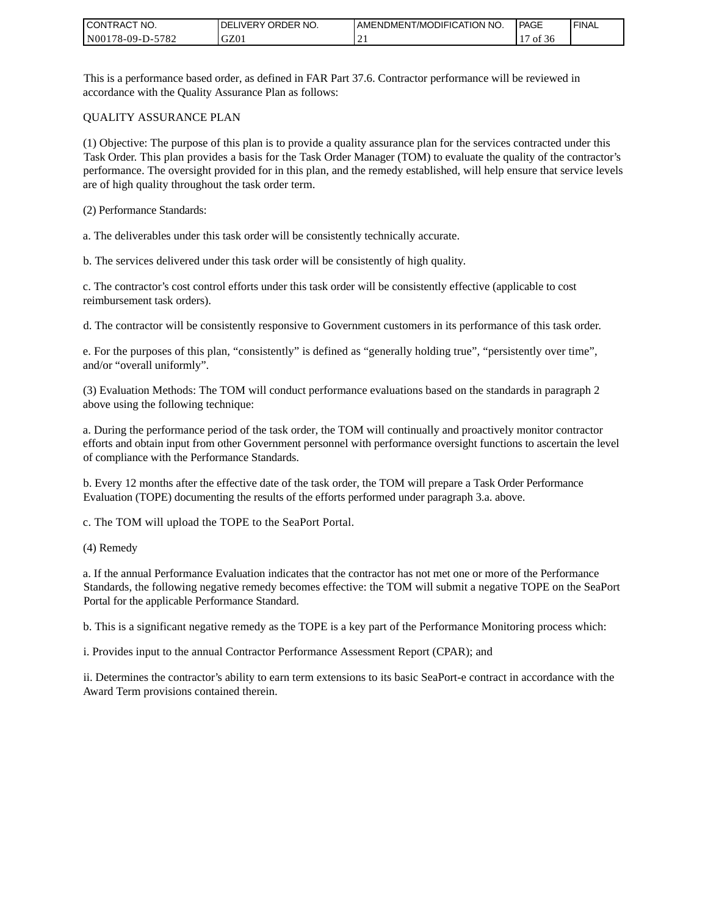| CONTRACT<br>`CT NO. | `NO.<br><b>DELIVERY ORDER</b> | AMENDMENT/MODIFICATION NO. | <b>PAGE</b> | ' FINAL |
|---------------------|-------------------------------|----------------------------|-------------|---------|
| N00178-09-D-5782    | GZ01                          | . .                        | ΟĪ<br>20    |         |

This is a performance based order, as defined in FAR Part 37.6. Contractor performance will be reviewed in accordance with the Quality Assurance Plan as follows:

#### QUALITY ASSURANCE PLAN

(1) Objective: The purpose of this plan is to provide a quality assurance plan for the services contracted under this Task Order. This plan provides a basis for the Task Order Manager (TOM) to evaluate the quality of the contractor's performance. The oversight provided for in this plan, and the remedy established, will help ensure that service levels are of high quality throughout the task order term.

(2) Performance Standards:

a. The deliverables under this task order will be consistently technically accurate.

b. The services delivered under this task order will be consistently of high quality.

c. The contractor's cost control efforts under this task order will be consistently effective (applicable to cost reimbursement task orders).

d. The contractor will be consistently responsive to Government customers in its performance of this task order.

e. For the purposes of this plan, "consistently" is defined as "generally holding true", "persistently over time", and/or "overall uniformly".

(3) Evaluation Methods: The TOM will conduct performance evaluations based on the standards in paragraph 2 above using the following technique:

a. During the performance period of the task order, the TOM will continually and proactively monitor contractor efforts and obtain input from other Government personnel with performance oversight functions to ascertain the level of compliance with the Performance Standards.

b. Every 12 months after the effective date of the task order, the TOM will prepare a Task Order Performance Evaluation (TOPE) documenting the results of the efforts performed under paragraph 3.a. above.

c. The TOM will upload the TOPE to the SeaPort Portal.

(4) Remedy

a. If the annual Performance Evaluation indicates that the contractor has not met one or more of the Performance Standards, the following negative remedy becomes effective: the TOM will submit a negative TOPE on the SeaPort Portal for the applicable Performance Standard.

b. This is a significant negative remedy as the TOPE is a key part of the Performance Monitoring process which:

i. Provides input to the annual Contractor Performance Assessment Report (CPAR); and

ii. Determines the contractor's ability to earn term extensions to its basic SeaPort-e contract in accordance with the Award Term provisions contained therein.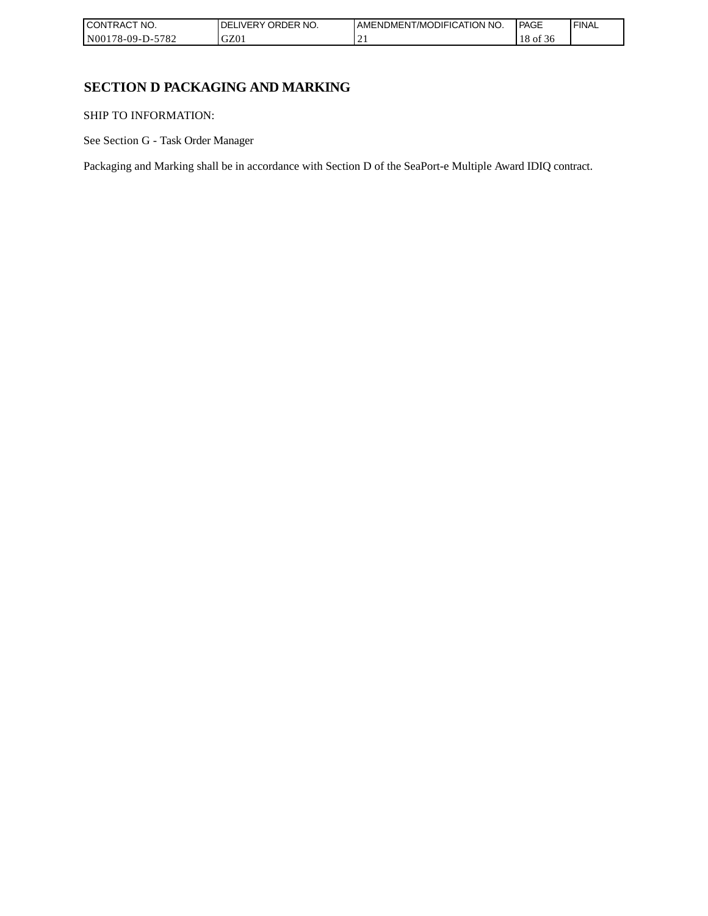| CONTRACT NO.                        | NO.<br><b>ORDER</b><br>DELIVERY | AMENDMENT/MODIFICATION NO. | PAGE            | ' FINAL |
|-------------------------------------|---------------------------------|----------------------------|-----------------|---------|
| 1178-09-D-5782<br>N001 <sup>*</sup> | GZ01                            | . .                        | ΟĪ<br>-50<br>10 |         |

# **SECTION D PACKAGING AND MARKING**

SHIP TO INFORMATION:

See Section G - Task Order Manager

Packaging and Marking shall be in accordance with Section D of the SeaPort-e Multiple Award IDIQ contract.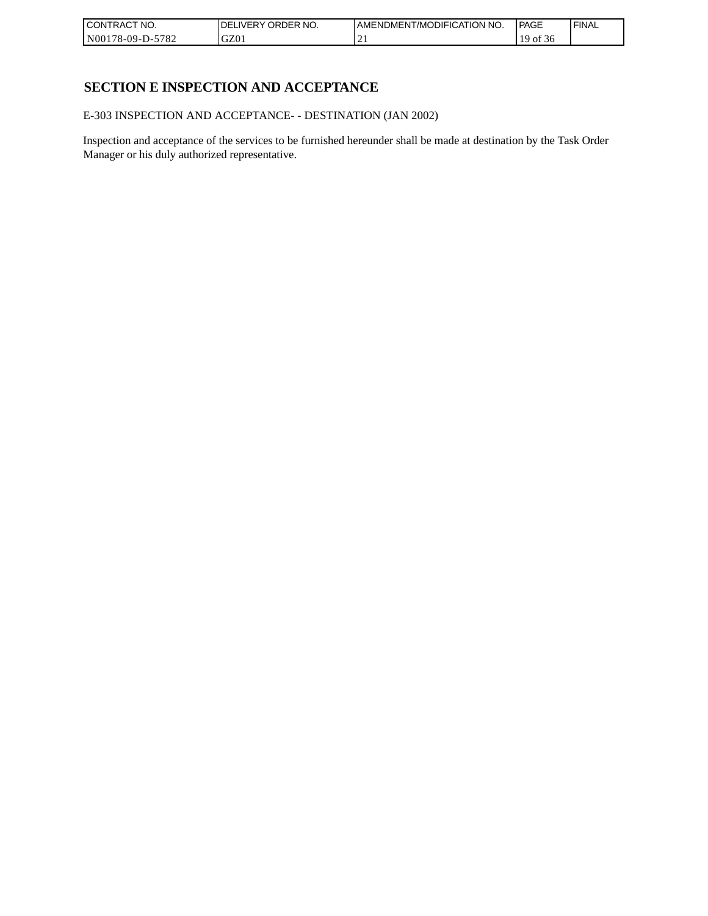| CONTRACT<br>`CT NO.      | `NO.<br>' ORDER<br><b>DELIVERY</b> | I AMENDMENT/MODIFICATION NO. | l PAGE      | 'FINAL |
|--------------------------|------------------------------------|------------------------------|-------------|--------|
| $-5782$<br>N00178-09-D-5 | GZ01                               | . .                          | ` OI<br>-50 |        |

# **SECTION E INSPECTION AND ACCEPTANCE**

E-303 INSPECTION AND ACCEPTANCE- - DESTINATION (JAN 2002)

Inspection and acceptance of the services to be furnished hereunder shall be made at destination by the Task Order Manager or his duly authorized representative.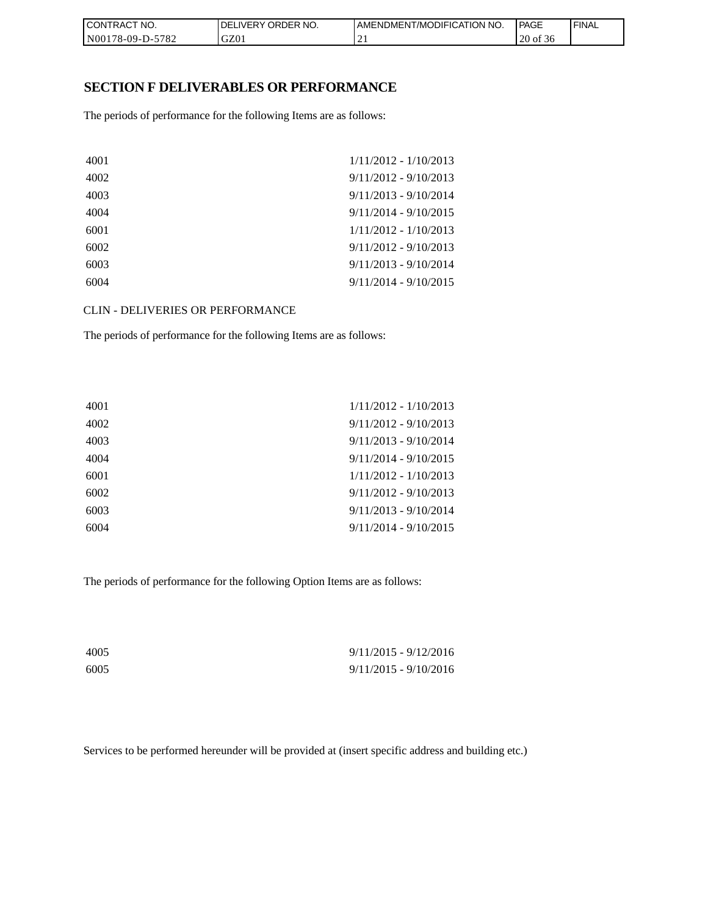| CON <sub>1</sub><br>TRACT NO. | NO.<br><b>DELIVERY ORDER</b> | <b>I AMENDMENT/MODIFICATION NO.</b> | <b>PAGE</b> | ' FINAL |
|-------------------------------|------------------------------|-------------------------------------|-------------|---------|
| N00178-09-D-5782              | GZ01                         | <u>_</u>                            | 20 of 36    |         |

### **SECTION F DELIVERABLES OR PERFORMANCE**

The periods of performance for the following Items are as follows:

| $1/11/2012 - 1/10/2013$ |
|-------------------------|
| $9/11/2012 - 9/10/2013$ |
| $9/11/2013 - 9/10/2014$ |
| $9/11/2014 - 9/10/2015$ |
| $1/11/2012 - 1/10/2013$ |
| $9/11/2012 - 9/10/2013$ |
| $9/11/2013 - 9/10/2014$ |
| $9/11/2014 - 9/10/2015$ |
|                         |

CLIN - DELIVERIES OR PERFORMANCE

The periods of performance for the following Items are as follows:

| $1/11/2012 - 1/10/2013$ |
|-------------------------|
| $9/11/2012 - 9/10/2013$ |
| $9/11/2013 - 9/10/2014$ |
| $9/11/2014 - 9/10/2015$ |
| $1/11/2012 - 1/10/2013$ |
| $9/11/2012 - 9/10/2013$ |
| $9/11/2013 - 9/10/2014$ |
| $9/11/2014 - 9/10/2015$ |
|                         |

The periods of performance for the following Option Items are as follows:

| 4005 | $9/11/2015 - 9/12/2016$ |
|------|-------------------------|
| 6005 | $9/11/2015 - 9/10/2016$ |

Services to be performed hereunder will be provided at (insert specific address and building etc.)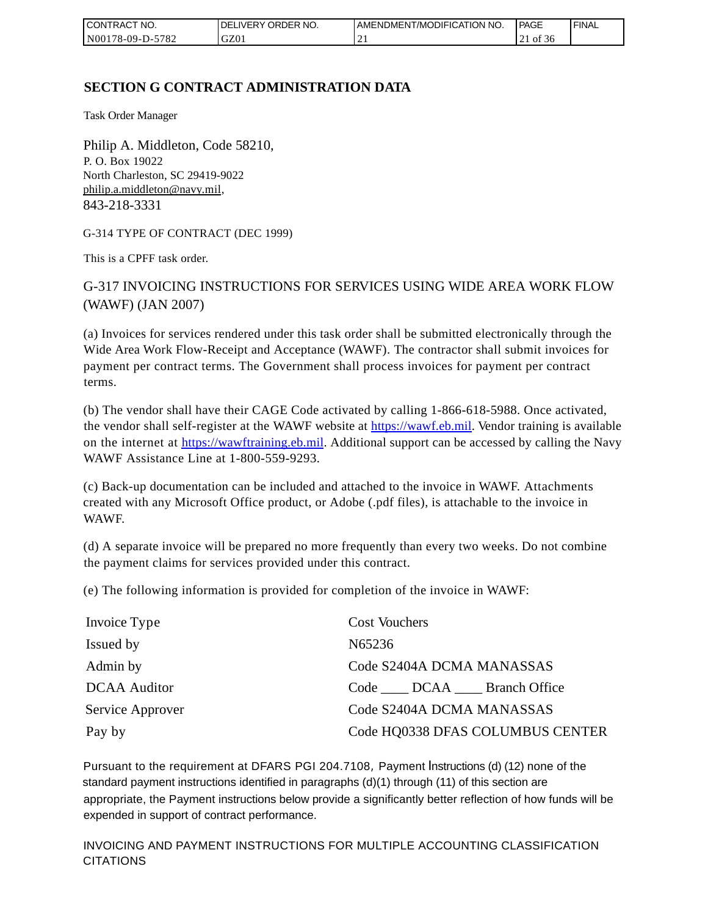| <b>CONTRACT</b><br>`CT NO. | `NO.<br><b>DELIVERY ORDER</b> | AMENDMENT/MODIFICATION NO. | <b>PAGE</b>            | ' FINAL |
|----------------------------|-------------------------------|----------------------------|------------------------|---------|
| N00178-09-D-5782           | GZ01                          | . .                        | 0Ť<br>. 30<br>$\sim$ 1 |         |

# **SECTION G CONTRACT ADMINISTRATION DATA**

Task Order Manager

Philip A. Middleton, Code 58210, P. O. Box 19022 North Charleston, SC 29419-9022 [philip.a.middleton@navy.mil,](mailto:cphilip.a.middleton@navy.mil) 843-218-3331

G-314 TYPE OF CONTRACT (DEC 1999)

This is a CPFF task order.

G-317 INVOICING INSTRUCTIONS FOR SERVICES USING WIDE AREA WORK FLOW (WAWF) (JAN 2007)

(a) Invoices for services rendered under this task order shall be submitted electronically through the Wide Area Work Flow-Receipt and Acceptance (WAWF). The contractor shall submit invoices for payment per contract terms. The Government shall process invoices for payment per contract terms.

(b) The vendor shall have their CAGE Code activated by calling 1-866-618-5988. Once activated, the vendor shall self-register at the WAWF website at [https://wawf.eb.mil.](https://wawf.eb.mil/) Vendor training is available on the internet at [https://wawftraining.eb.mil.](https://wawftraining.eb.mil/) Additional support can be accessed by calling the Navy WAWF Assistance Line at 1-800-559-9293.

(c) Back-up documentation can be included and attached to the invoice in WAWF. Attachments created with any Microsoft Office product, or Adobe (.pdf files), is attachable to the invoice in WAWF.

(d) A separate invoice will be prepared no more frequently than every two weeks. Do not combine the payment claims for services provided under this contract.

(e) The following information is provided for completion of the invoice in WAWF:

| Invoice Type        | <b>Cost Vouchers</b>             |
|---------------------|----------------------------------|
| Issued by           | N65236                           |
| Admin by            | Code S2404A DCMA MANASSAS        |
| <b>DCAA</b> Auditor | Code DCAA Branch Office          |
| Service Approver    | Code S2404A DCMA MANASSAS        |
| Pay by              | Code HQ0338 DFAS COLUMBUS CENTER |

Pursuant to the requirement at DFARS PGI 204.7108, Payment Instructions (d) (12) none of the standard payment instructions identified in paragraphs (d)(1) through (11) of this section are appropriate, the Payment instructions below provide a significantly better reflection of how funds will be expended in support of contract performance.

INVOICING AND PAYMENT INSTRUCTIONS FOR MULTIPLE ACCOUNTING CLASSIFICATION CITATIONS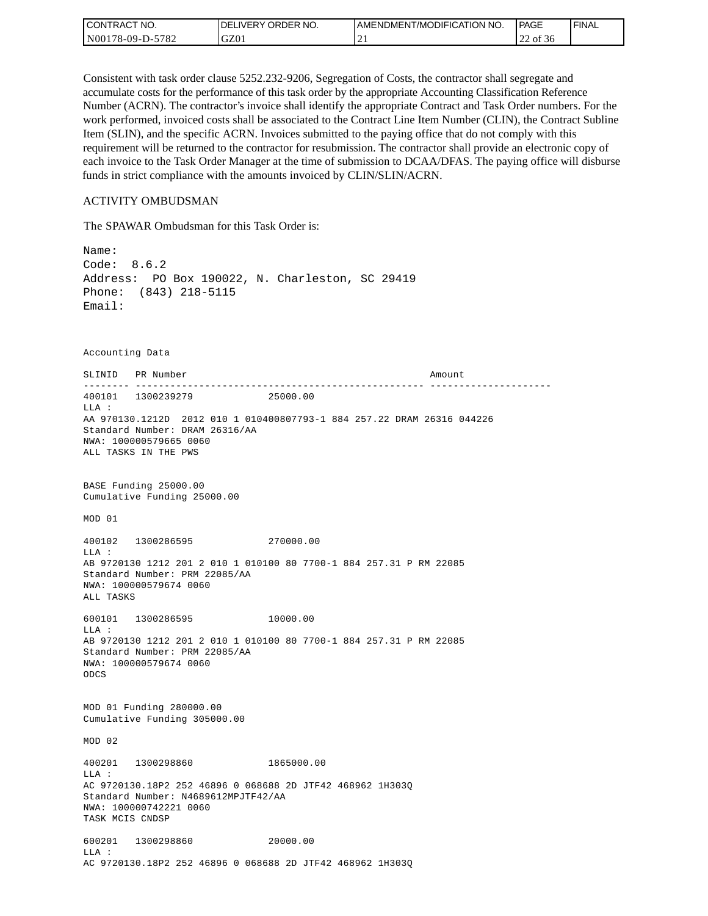| CONTRACT NO.     | DELIVERY ORDER NO. | AMENDMENT/MODIFICATION NO. | PAGE  | ' FINAL |
|------------------|--------------------|----------------------------|-------|---------|
| N00178-09-D-5782 | GZ01               |                            | of 36 |         |

Consistent with task order clause 5252.232-9206, Segregation of Costs, the contractor shall segregate and accumulate costs for the performance of this task order by the appropriate Accounting Classification Reference Number (ACRN). The contractor's invoice shall identify the appropriate Contract and Task Order numbers. For the work performed, invoiced costs shall be associated to the Contract Line Item Number (CLIN), the Contract Subline Item (SLIN), and the specific ACRN. Invoices submitted to the paying office that do not comply with this requirement will be returned to the contractor for resubmission. The contractor shall provide an electronic copy of each invoice to the Task Order Manager at the time of submission to DCAA/DFAS. The paying office will disburse funds in strict compliance with the amounts invoiced by CLIN/SLIN/ACRN.

#### ACTIVITY OMBUDSMAN

The SPAWAR Ombudsman for this Task Order is:

Name: Code: 8.6.2 Address: PO Box 190022, N. Charleston, SC 29419 Phone: (843) 218-5115 Email: Accounting Data SLINID PR Number **Amount** -------- -------------------------------------------------- --------------------- 400101 1300239279 25000.00 LLA : AA 970130.1212D 2012 010 1 010400807793-1 884 257.22 DRAM 26316 044226 Standard Number: DRAM 26316/AA NWA: 100000579665 0060 ALL TASKS IN THE PWS BASE Funding 25000.00 Cumulative Funding 25000.00 MOD 01 400102 1300286595 270000.00 LLA : AB 9720130 1212 201 2 010 1 010100 80 7700-1 884 257.31 P RM 22085 Standard Number: PRM 22085/AA NWA: 100000579674 0060 ALL TASKS 600101 1300286595 10000.00 LLA : AB 9720130 1212 201 2 010 1 010100 80 7700-1 884 257.31 P RM 22085 Standard Number: PRM 22085/AA NWA: 100000579674 0060 ODCS MOD 01 Funding 280000.00 Cumulative Funding 305000.00 MOD 02 400201 1300298860 1865000.00  $T.T.A$  : AC 9720130.18P2 252 46896 0 068688 2D JTF42 468962 1H303Q Standard Number: N4689612MPJTF42/AA NWA: 100000742221 0060 TASK MCIS CNDSP 600201 1300298860 20000.00 LLA : AC 9720130.18P2 252 46896 0 068688 2D JTF42 468962 1H303Q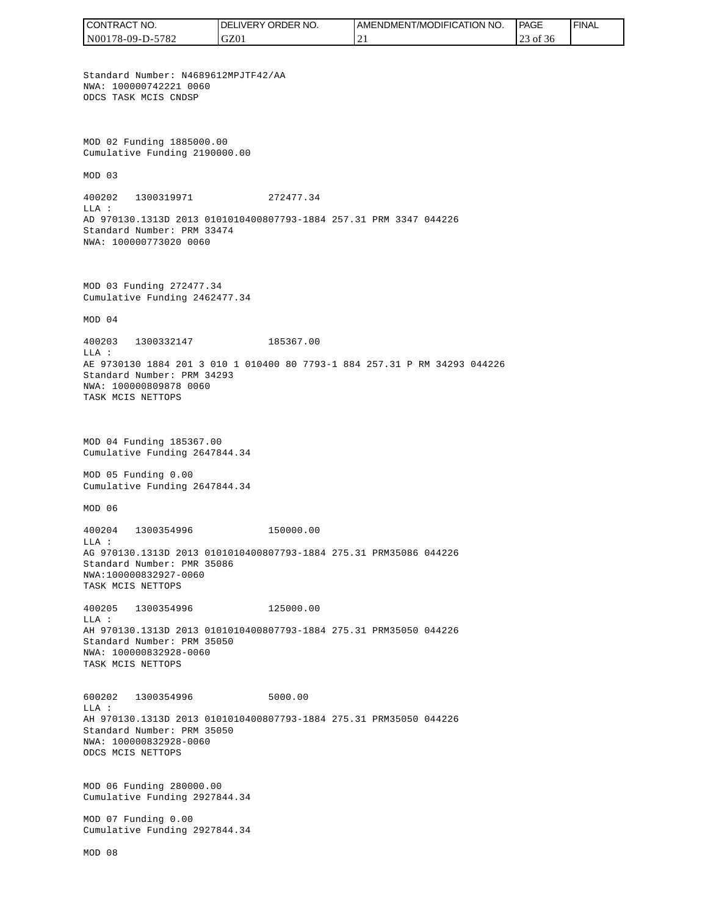CONTRACT NO. DELIVERY ORDER NO. AMENDMENT/MODIFICATION NO. **PAGE**  FINALCONTRACT NO.<br>NO0178-09-D-5<br>Standard Numb<br>NMA: 10000074<br>ODCS TASK MCI<br>ODCS TASK MCI<br>NMA: 10000074<br>ODCS TASK MCI<br>Cumulative Fu<br>MOD 03<br>400202 1300<br>LLA:<br>AD 970130.131<br>Standard Numb<br>NMA: 10000080<br>TASK MCIS NET<br>NMA: 1000080<br>TASK N00178-09-D-5782 GZ01 21 23 of 36 Standard Number: N4689612MPJTF42/AA NWA: 100000742221 0060 ODCS TASK MCIS CNDSP MOD 02 Funding 1885000.00 Cumulative Funding 2190000.00 MOD 03 400202 1300319971 272477.34  $T.T.A$  : AD 970130.1313D 2013 0101010400807793-1884 257.31 PRM 3347 044226 Standard Number: PRM 33474 NWA: 100000773020 0060 MOD 03 Funding 272477.34 Cumulative Funding 2462477.34 MOD 04 400203 1300332147 185367.00 LLA : AE 9730130 1884 201 3 010 1 010400 80 7793-1 884 257.31 P RM 34293 044226 Standard Number: PRM 34293 NWA: 100000809878 0060 TASK MCIS NETTOPS MOD 04 Funding 185367.00 Cumulative Funding 2647844.34 MOD 05 Funding 0.00 Cumulative Funding 2647844.34 MOD 06 400204 1300354996 150000.00  $T.T.A$  : AG 970130.1313D 2013 0101010400807793-1884 275.31 PRM35086 044226 Standard Number: PMR 35086 NWA:100000832927-0060 TASK MCIS NETTOPS 400205 1300354996 125000.00 LLA : AH 970130.1313D 2013 0101010400807793-1884 275.31 PRM35050 044226 Standard Number: PRM 35050 NWA: 100000832928-0060 TASK MCIS NETTOPS 600202 1300354996 5000.00 LLA : AH 970130.1313D 2013 0101010400807793-1884 275.31 PRM35050 044226 Standard Number: PRM 35050 NWA: 100000832928-0060 ODCS MCIS NETTOPS MOD 06 Funding 280000.00 Cumulative Funding 2927844.34 MOD 07 Funding 0.00 Cumulative Funding 2927844.34 MOD 08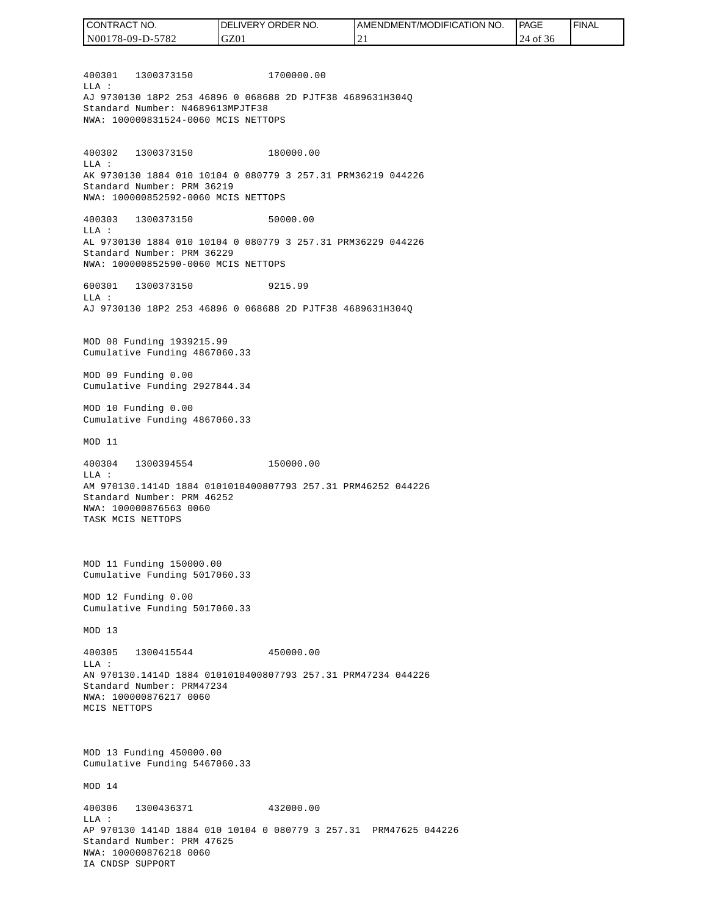400301 1300373150 1700000.00  $T.T.A$  : AJ 9730130 18P2 253 46896 0 068688 2D PJTF38 4689631H304Q Standard Number: N4689613MPJTF38 NWA: 100000831524-0060 MCIS NETTOPS 400302 1300373150 180000.00 LLA : AK 9730130 1884 010 10104 0 080779 3 257.31 PRM36219 044226 Standard Number: PRM 36219 NWA: 100000852592-0060 MCIS NETTOPS 400303 1300373150 50000.00 LLA : AL 9730130 1884 010 10104 0 080779 3 257.31 PRM36229 044226 Standard Number: PRM 36229 NWA: 100000852590-0060 MCIS NETTOPS 600301 1300373150 9215.99  $T.T.A$  : AJ 9730130 18P2 253 46896 0 068688 2D PJTF38 4689631H304Q MOD 08 Funding 1939215.99 Cumulative Funding 4867060.33 MOD 09 Funding 0.00 Cumulative Funding 2927844.34 MOD 10 Funding 0.00 Cumulative Funding 4867060.33 MOD 11 400304 1300394554 150000.00 LLA : AM 970130.1414D 1884 0101010400807793 257.31 PRM46252 044226 Standard Number: PRM 46252 NWA: 100000876563 0060 TASK MCIS NETTOPS MOD 11 Funding 150000.00 Cumulative Funding 5017060.33 MOD 12 Funding 0.00 Cumulative Funding 5017060.33 MOD 13 400305 1300415544 450000.00  $T.T.A$  : AN 970130.1414D 1884 0101010400807793 257.31 PRM47234 044226 Standard Number: PRM47234 NWA: 100000876217 0060 MCIS NETTOPS MOD 13 Funding 450000.00 Cumulative Funding 5467060.33 MOD 14 400306 1300436371 432000.00  $L.L.A$  : AP 970130 1414D 1884 010 10104 0 080779 3 257.31 PRM47625 044226 Standard Number: PRM 47625 NWA: 100000876218 0060 IA CNDSP SUPPORT CONTRACT NO. N00178-09-D-5782 DELIVERY ORDER NO. GZ01 AMENDMENT/MODIFICATION NO. 21 **PAGE**  24 of 36 FINAL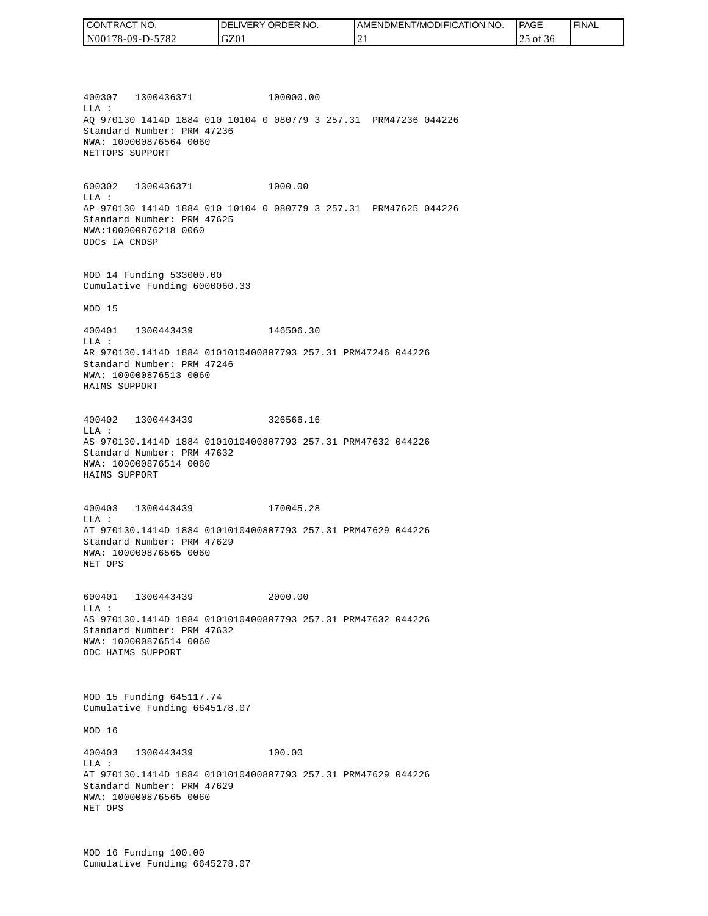| CONTRACT NO.     | <b>IDELIVERY ORDER NO.</b> | I AMENDMENT/MODIFICATION NO. | PAGE        | ' FINAL |
|------------------|----------------------------|------------------------------|-------------|---------|
| N00178-09-D-5782 | GZ01                       | $\sim$<br>∼                  | of 36<br>ر_ |         |

400307 1300436371 100000.00 LLA : AQ 970130 1414D 1884 010 10104 0 080779 3 257.31 PRM47236 044226 Standard Number: PRM 47236 NWA: 100000876564 0060 NETTOPS SUPPORT

600302 1300436371 1000.00 LLA : AP 970130 1414D 1884 010 10104 0 080779 3 257.31 PRM47625 044226 Standard Number: PRM 47625 NWA:100000876218 0060 ODCs IA CNDSP

MOD 14 Funding 533000.00 Cumulative Funding 6000060.33

MOD 15

400401 1300443439 146506.30 LLA : AR 970130.1414D 1884 0101010400807793 257.31 PRM47246 044226 Standard Number: PRM 47246 NWA: 100000876513 0060 HAIMS SUPPORT

400402 1300443439 326566.16 LLA : AS 970130.1414D 1884 0101010400807793 257.31 PRM47632 044226 Standard Number: PRM 47632 NWA: 100000876514 0060 HAIMS SUPPORT

400403 1300443439 170045.28 LLA : AT 970130.1414D 1884 0101010400807793 257.31 PRM47629 044226 Standard Number: PRM 47629 NWA: 100000876565 0060 NET OPS

600401 1300443439 2000.00  $L.L.A$  : AS 970130.1414D 1884 0101010400807793 257.31 PRM47632 044226 Standard Number: PRM 47632 NWA: 100000876514 0060 ODC HAIMS SUPPORT

MOD 15 Funding 645117.74 Cumulative Funding 6645178.07

MOD 16

400403 1300443439 100.00 LLA : AT 970130.1414D 1884 0101010400807793 257.31 PRM47629 044226 Standard Number: PRM 47629 NWA: 100000876565 0060 NET OPS

MOD 16 Funding 100.00 Cumulative Funding 6645278.07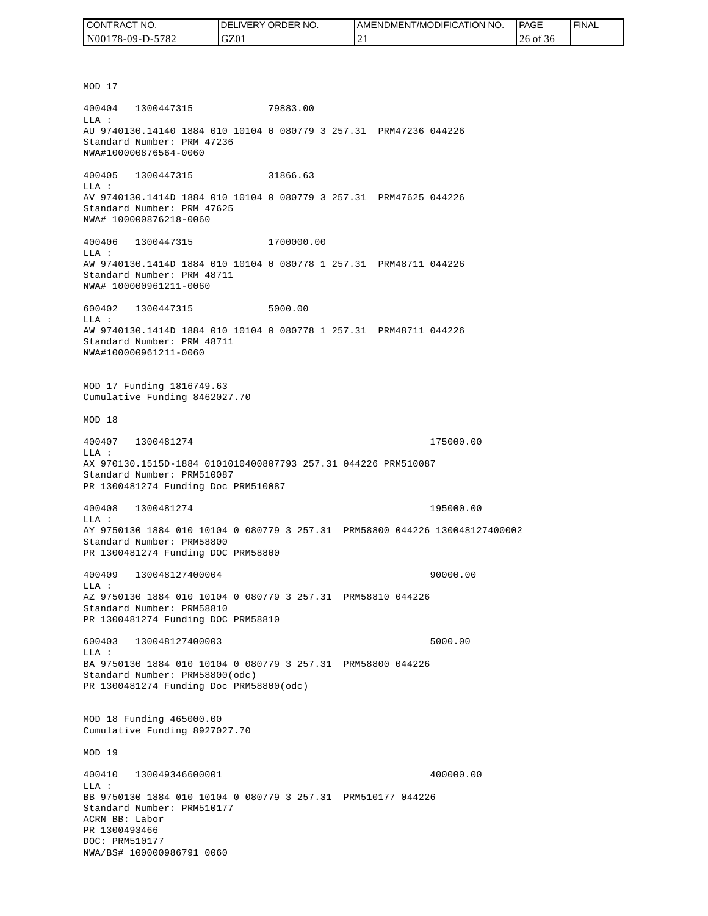| CON <sub>1</sub><br>'TRACT NO. | NO.<br><b>DELIVERY ORDER</b> | AMENDMENT/MODIFICATION NO. | <b>PAGE</b> | ' FINAL |
|--------------------------------|------------------------------|----------------------------|-------------|---------|
| -5782<br>  N00178-09-D-:       | GZ01                         |                            | 26 of 36    |         |

MOD 17 400404 1300447315 79883.00 LLA : AU 9740130.14140 1884 010 10104 0 080779 3 257.31 PRM47236 044226 Standard Number: PRM 47236 NWA#100000876564-0060 400405 1300447315 31866.63 LLA : AV 9740130.1414D 1884 010 10104 0 080779 3 257.31 PRM47625 044226 Standard Number: PRM 47625 NWA# 100000876218-0060 400406 1300447315 1700000.00 LLA : AW 9740130.1414D 1884 010 10104 0 080778 1 257.31 PRM48711 044226 Standard Number: PRM 48711 NWA# 100000961211-0060 600402 1300447315 5000.00 LLA : AW 9740130.1414D 1884 010 10104 0 080778 1 257.31 PRM48711 044226 Standard Number: PRM 48711 NWA#100000961211-0060 MOD 17 Funding 1816749.63 Cumulative Funding 8462027.70 MOD 18 400407 1300481274 175000.00 LLA : AX 970130.1515D-1884 0101010400807793 257.31 044226 PRM510087 Standard Number: PRM510087 PR 1300481274 Funding Doc PRM510087 400408 1300481274 195000.00 LLA : AY 9750130 1884 010 10104 0 080779 3 257.31 PRM58800 044226 130048127400002 Standard Number: PRM58800 PR 1300481274 Funding DOC PRM58800 400409 130048127400004 90000.00 LLA : AZ 9750130 1884 010 10104 0 080779 3 257.31 PRM58810 044226 Standard Number: PRM58810 PR 1300481274 Funding DOC PRM58810 600403 130048127400003 5000.00  $L.L.A$  : BA 9750130 1884 010 10104 0 080779 3 257.31 PRM58800 044226 Standard Number: PRM58800(odc) PR 1300481274 Funding Doc PRM58800(odc) MOD 18 Funding 465000.00 Cumulative Funding 8927027.70 MOD 19 400410 130049346600001 400000.00 LLA : BB 9750130 1884 010 10104 0 080779 3 257.31 PRM510177 044226 Standard Number: PRM510177 ACRN BB: Labor PR 1300493466 DOC: PRM510177<br>NWA/BS# 100000986791 0060 (CONTRACT NO. 1986)<br>
NO0178-09-D-5782<br>
NO0178-09-D-5782<br>
MDB10<br>
NOD 17<br>
400404 1300447315<br>
NAJ 9740130.14140 1884 010<br>
Standard Number: PRM 47236<br>
NWA#100000876564-0060<br>
10405 1300447315<br>
Standard Number: PRM 47625<br>
NAJ 97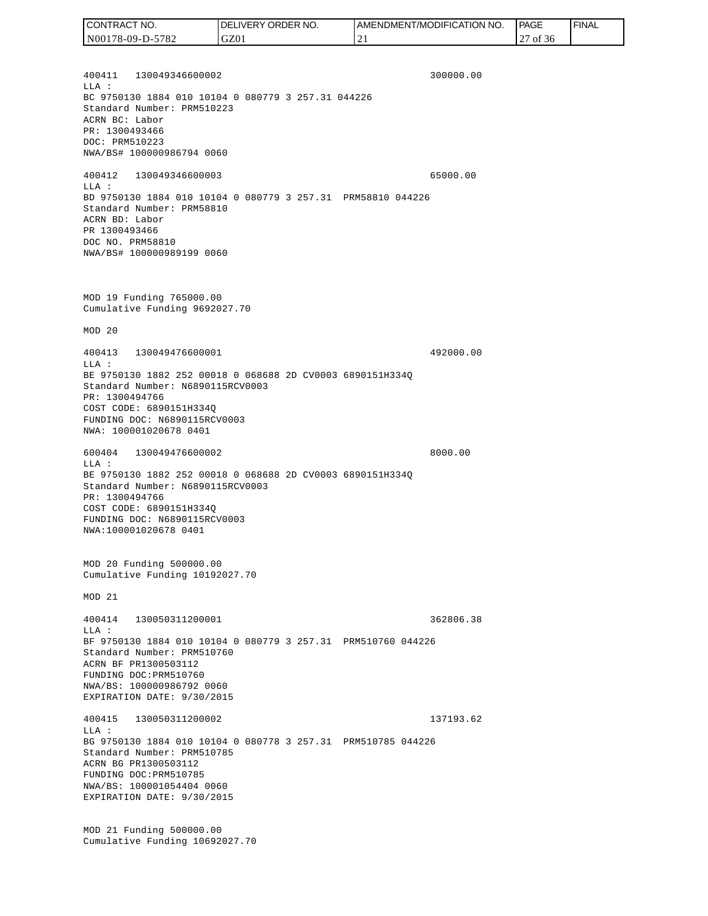400411 130049346600002 300000.00  $L.L.A$  : BC 9750130 1884 010 10104 0 080779 3 257.31 044226 Standard Number: PRM510223 ACRN BC: Labor PR: 1300493466 DOC: PRM510223 NWA/BS# 100000986794 0060 400412 130049346600003 65000.00 LLA : BD 9750130 1884 010 10104 0 080779 3 257.31 PRM58810 044226 Standard Number: PRM58810 ACRN BD: Labor PR 1300493466 DOC NO. PRM58810 NWA/BS# 100000989199 0060 MOD 19 Funding 765000.00 Cumulative Funding 9692027.70 MOD 20 400413 130049476600001 492000.00 LLA : BE 9750130 1882 252 00018 0 068688 2D CV0003 6890151H334Q Standard Number: N6890115RCV0003 PR: 1300494766 COST CODE: 6890151H334Q FUNDING DOC: N6890115RCV0003 NWA: 100001020678 0401 600404 130049476600002 8000.00 LLA : BE 9750130 1882 252 00018 0 068688 2D CV0003 6890151H334Q Standard Number: N6890115RCV0003 PR: 1300494766 COST CODE: 6890151H334Q FUNDING DOC: N6890115RCV0003 NWA:100001020678 0401 MOD 20 Funding 500000.00 Cumulative Funding 10192027.70 MOD 21 400414 130050311200001 362806.38  $T.T.A$  : BF 9750130 1884 010 10104 0 080779 3 257.31 PRM510760 044226 Standard Number: PRM510760 ACRN BF PR1300503112 FUNDING DOC:PRM510760 NWA/BS: 100000986792 0060 EXPIRATION DATE: 9/30/2015 400415 130050311200002 137193.62 LLA : BG 9750130 1884 010 10104 0 080778 3 257.31 PRM510785 044226 Standard Number: PRM510785 ACRN BG PR1300503112 FUNDING DOC:PRM510785 NWA/BS: 100001054404 0060 EXPIRATION DATE: 9/30/2015 MOD 21 Funding 500000.00 CONTRACT NO. [DELIVER]<br>
INCO178-09-D-5782 [GZ01<br>
10601178-09-D-5782 [GZ01<br>
1070111 130049346600002<br>
EC 9750130 1884 010 10104 0 080<br>
EC 9750130 1884 010 10104 0 080<br>
EC 9750130 1884 010 10104 0 080<br>
ACRN BC: Labor<br>
DRC: DR N00178-09-D-5782 DELIVERY ORDER NO. GZ01 AMENDMENT/MODIFICATION NO. 21 **PAGE**  27 of 36 FINAL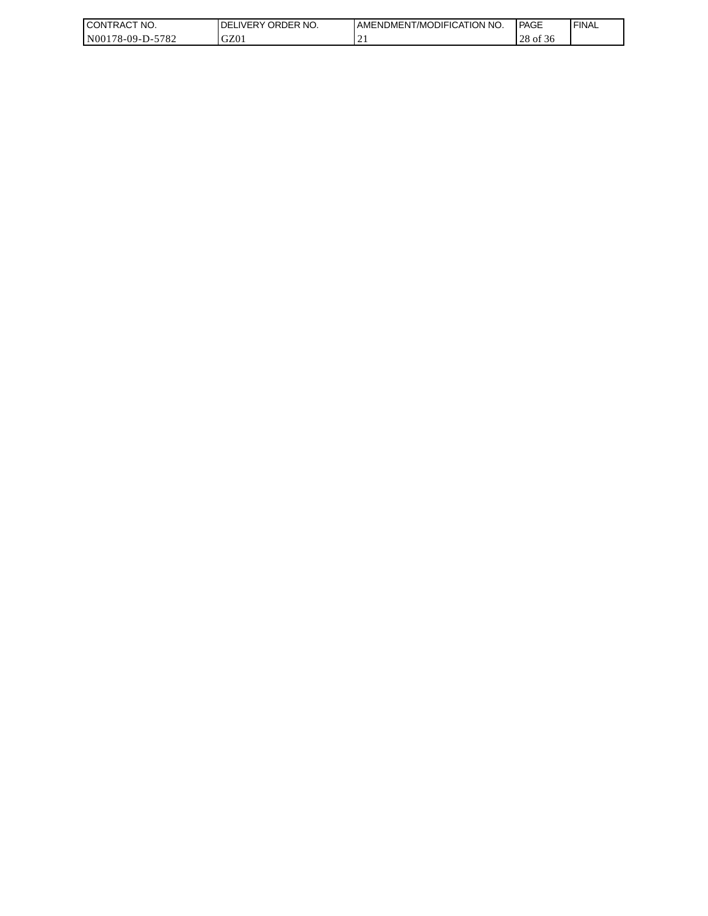| CONTRACT NO.     | ' ORDER NO.<br>DEl<br>LIVERY | I AMENDMENT/MODIFICATION NO. | PAGE            | ' FINAL |
|------------------|------------------------------|------------------------------|-----------------|---------|
| N00178-09-D-5782 | GZ01                         | <u>_</u>                     | 28<br>0Ī<br>-50 |         |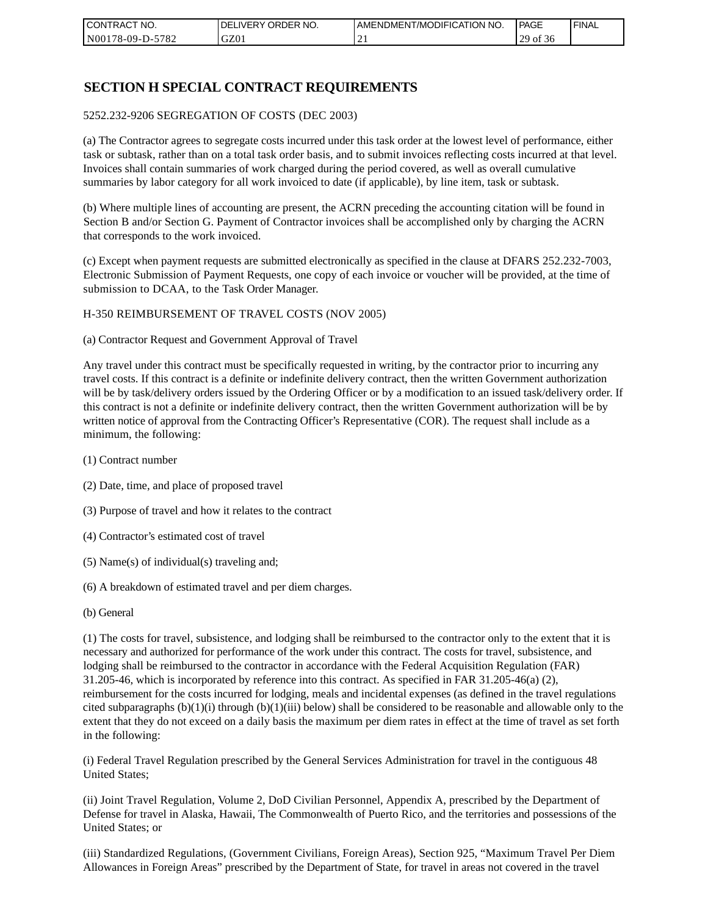| I CONTRACT NO.   | NO.<br>DELIVERY ORDER | AMENDMENT/MODIFICATION NO. | PAGE                     | ' FINAL |
|------------------|-----------------------|----------------------------|--------------------------|---------|
| N00178-09-D-5782 | GZ01                  |                            | 20<br>` Oİ<br>-56<br>ر ت |         |

### **SECTION H SPECIAL CONTRACT REQUIREMENTS**

#### 5252.232-9206 SEGREGATION OF COSTS (DEC 2003)

(a) The Contractor agrees to segregate costs incurred under this task order at the lowest level of performance, either task or subtask, rather than on a total task order basis, and to submit invoices reflecting costs incurred at that level. Invoices shall contain summaries of work charged during the period covered, as well as overall cumulative summaries by labor category for all work invoiced to date (if applicable), by line item, task or subtask.

(b) Where multiple lines of accounting are present, the ACRN preceding the accounting citation will be found in Section B and/or Section G. Payment of Contractor invoices shall be accomplished only by charging the ACRN that corresponds to the work invoiced.

(c) Except when payment requests are submitted electronically as specified in the clause at DFARS 252.232-7003, Electronic Submission of Payment Requests, one copy of each invoice or voucher will be provided, at the time of submission to DCAA, to the Task Order Manager.

#### H-350 REIMBURSEMENT OF TRAVEL COSTS (NOV 2005)

(a) Contractor Request and Government Approval of Travel

Any travel under this contract must be specifically requested in writing, by the contractor prior to incurring any travel costs. If this contract is a definite or indefinite delivery contract, then the written Government authorization will be by task/delivery orders issued by the Ordering Officer or by a modification to an issued task/delivery order. If this contract is not a definite or indefinite delivery contract, then the written Government authorization will be by written notice of approval from the Contracting Officer's Representative (COR). The request shall include as a minimum, the following:

- (1) Contract number
- (2) Date, time, and place of proposed travel
- (3) Purpose of travel and how it relates to the contract
- (4) Contractor's estimated cost of travel
- (5) Name(s) of individual(s) traveling and;
- (6) A breakdown of estimated travel and per diem charges.
- (b) General

(1) The costs for travel, subsistence, and lodging shall be reimbursed to the contractor only to the extent that it is necessary and authorized for performance of the work under this contract. The costs for travel, subsistence, and lodging shall be reimbursed to the contractor in accordance with the Federal Acquisition Regulation (FAR) 31.205-46, which is incorporated by reference into this contract. As specified in FAR 31.205-46(a) (2), reimbursement for the costs incurred for lodging, meals and incidental expenses (as defined in the travel regulations cited subparagraphs  $(b)(1)(i)$  through  $(b)(1)(iii)$  below) shall be considered to be reasonable and allowable only to the extent that they do not exceed on a daily basis the maximum per diem rates in effect at the time of travel as set forth in the following:

(i) Federal Travel Regulation prescribed by the General Services Administration for travel in the contiguous 48 United States;

(ii) Joint Travel Regulation, Volume 2, DoD Civilian Personnel, Appendix A, prescribed by the Department of Defense for travel in Alaska, Hawaii, The Commonwealth of Puerto Rico, and the territories and possessions of the United States; or

(iii) Standardized Regulations, (Government Civilians, Foreign Areas), Section 925, "Maximum Travel Per Diem Allowances in Foreign Areas" prescribed by the Department of State, for travel in areas not covered in the travel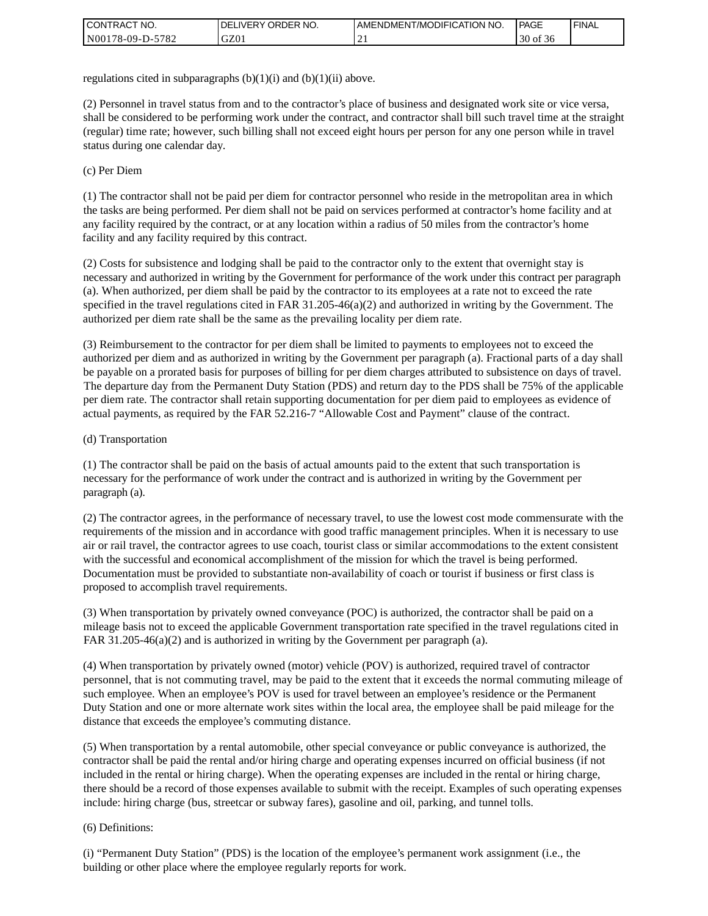| <b>I CONTRACT NO.</b> | `NO.<br><b>DELIVERY ORDER</b> | AMENDMENT/MODIFICATION NO. | <b>PAGE</b>     | ' FINAL |
|-----------------------|-------------------------------|----------------------------|-----------------|---------|
| N00178-09-D-5782      | GZ01                          | . .                        | $30$ of<br>- 50 |         |

regulations cited in subparagraphs  $(b)(1)(i)$  and  $(b)(1)(ii)$  above.

(2) Personnel in travel status from and to the contractor's place of business and designated work site or vice versa, shall be considered to be performing work under the contract, and contractor shall bill such travel time at the straight (regular) time rate; however, such billing shall not exceed eight hours per person for any one person while in travel status during one calendar day.

(c) Per Diem

(1) The contractor shall not be paid per diem for contractor personnel who reside in the metropolitan area in which the tasks are being performed. Per diem shall not be paid on services performed at contractor's home facility and at any facility required by the contract, or at any location within a radius of 50 miles from the contractor's home facility and any facility required by this contract.

(2) Costs for subsistence and lodging shall be paid to the contractor only to the extent that overnight stay is necessary and authorized in writing by the Government for performance of the work under this contract per paragraph (a). When authorized, per diem shall be paid by the contractor to its employees at a rate not to exceed the rate specified in the travel regulations cited in FAR 31.205-46(a)(2) and authorized in writing by the Government. The authorized per diem rate shall be the same as the prevailing locality per diem rate.

(3) Reimbursement to the contractor for per diem shall be limited to payments to employees not to exceed the authorized per diem and as authorized in writing by the Government per paragraph (a). Fractional parts of a day shall be payable on a prorated basis for purposes of billing for per diem charges attributed to subsistence on days of travel. The departure day from the Permanent Duty Station (PDS) and return day to the PDS shall be 75% of the applicable per diem rate. The contractor shall retain supporting documentation for per diem paid to employees as evidence of actual payments, as required by the FAR 52.216-7 "Allowable Cost and Payment" clause of the contract.

#### (d) Transportation

(1) The contractor shall be paid on the basis of actual amounts paid to the extent that such transportation is necessary for the performance of work under the contract and is authorized in writing by the Government per paragraph (a).

(2) The contractor agrees, in the performance of necessary travel, to use the lowest cost mode commensurate with the requirements of the mission and in accordance with good traffic management principles. When it is necessary to use air or rail travel, the contractor agrees to use coach, tourist class or similar accommodations to the extent consistent with the successful and economical accomplishment of the mission for which the travel is being performed. Documentation must be provided to substantiate non-availability of coach or tourist if business or first class is proposed to accomplish travel requirements.

(3) When transportation by privately owned conveyance (POC) is authorized, the contractor shall be paid on a mileage basis not to exceed the applicable Government transportation rate specified in the travel regulations cited in FAR 31.205-46(a)(2) and is authorized in writing by the Government per paragraph (a).

(4) When transportation by privately owned (motor) vehicle (POV) is authorized, required travel of contractor personnel, that is not commuting travel, may be paid to the extent that it exceeds the normal commuting mileage of such employee. When an employee's POV is used for travel between an employee's residence or the Permanent Duty Station and one or more alternate work sites within the local area, the employee shall be paid mileage for the distance that exceeds the employee's commuting distance.

(5) When transportation by a rental automobile, other special conveyance or public conveyance is authorized, the contractor shall be paid the rental and/or hiring charge and operating expenses incurred on official business (if not included in the rental or hiring charge). When the operating expenses are included in the rental or hiring charge, there should be a record of those expenses available to submit with the receipt. Examples of such operating expenses include: hiring charge (bus, streetcar or subway fares), gasoline and oil, parking, and tunnel tolls.

#### (6) Definitions:

(i) "Permanent Duty Station" (PDS) is the location of the employee's permanent work assignment (i.e., the building or other place where the employee regularly reports for work.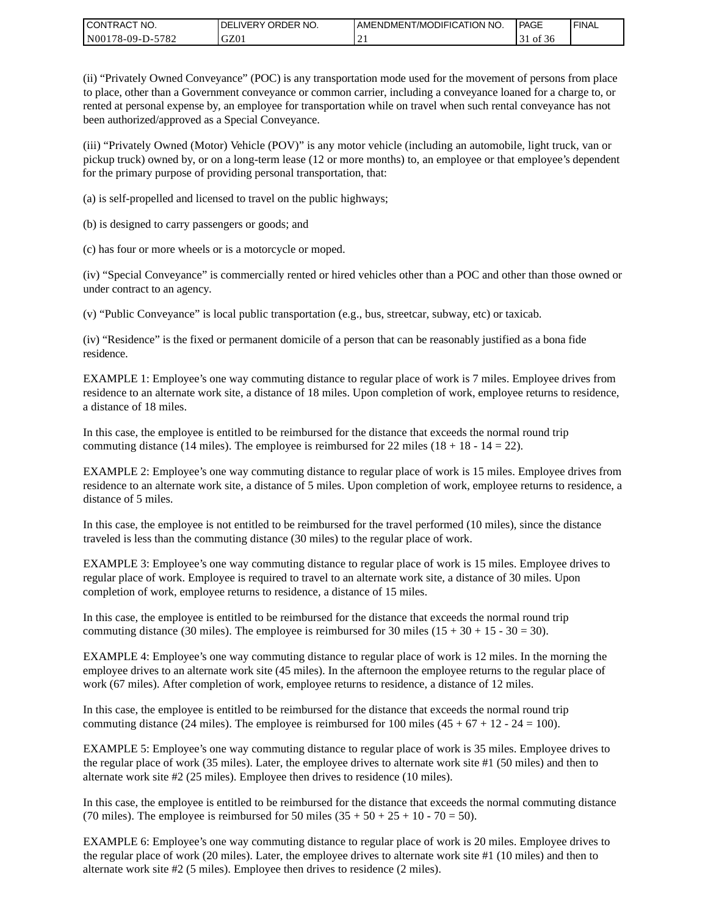| CONTRACT<br>CT NO.                       | NO.<br>' ORDER<br><b>DELIVERY</b> | <b>I AMENDMENT/MODIFICATION NO.</b> | l PAGE    | 'FINAL |
|------------------------------------------|-----------------------------------|-------------------------------------|-----------|--------|
| $-5782$<br>N <sub>001</sub><br>78-09-D-J | GZ01                              | . .                                 | ОI<br>-50 |        |

(ii) "Privately Owned Conveyance" (POC) is any transportation mode used for the movement of persons from place to place, other than a Government conveyance or common carrier, including a conveyance loaned for a charge to, or rented at personal expense by, an employee for transportation while on travel when such rental conveyance has not been authorized/approved as a Special Conveyance.

(iii) "Privately Owned (Motor) Vehicle (POV)" is any motor vehicle (including an automobile, light truck, van or pickup truck) owned by, or on a long-term lease (12 or more months) to, an employee or that employee's dependent for the primary purpose of providing personal transportation, that:

(a) is self-propelled and licensed to travel on the public highways;

(b) is designed to carry passengers or goods; and

(c) has four or more wheels or is a motorcycle or moped.

(iv) "Special Conveyance" is commercially rented or hired vehicles other than a POC and other than those owned or under contract to an agency.

(v) "Public Conveyance" is local public transportation (e.g., bus, streetcar, subway, etc) or taxicab.

(iv) "Residence" is the fixed or permanent domicile of a person that can be reasonably justified as a bona fide residence.

EXAMPLE 1: Employee's one way commuting distance to regular place of work is 7 miles. Employee drives from residence to an alternate work site, a distance of 18 miles. Upon completion of work, employee returns to residence, a distance of 18 miles.

In this case, the employee is entitled to be reimbursed for the distance that exceeds the normal round trip commuting distance (14 miles). The employee is reimbursed for 22 miles (18 + 18 - 14 = 22).

EXAMPLE 2: Employee's one way commuting distance to regular place of work is 15 miles. Employee drives from residence to an alternate work site, a distance of 5 miles. Upon completion of work, employee returns to residence, a distance of 5 miles.

In this case, the employee is not entitled to be reimbursed for the travel performed (10 miles), since the distance traveled is less than the commuting distance (30 miles) to the regular place of work.

EXAMPLE 3: Employee's one way commuting distance to regular place of work is 15 miles. Employee drives to regular place of work. Employee is required to travel to an alternate work site, a distance of 30 miles. Upon completion of work, employee returns to residence, a distance of 15 miles.

In this case, the employee is entitled to be reimbursed for the distance that exceeds the normal round trip commuting distance (30 miles). The employee is reimbursed for 30 miles  $(15 + 30 + 15 - 30 = 30)$ .

EXAMPLE 4: Employee's one way commuting distance to regular place of work is 12 miles. In the morning the employee drives to an alternate work site (45 miles). In the afternoon the employee returns to the regular place of work (67 miles). After completion of work, employee returns to residence, a distance of 12 miles.

In this case, the employee is entitled to be reimbursed for the distance that exceeds the normal round trip commuting distance (24 miles). The employee is reimbursed for 100 miles  $(45 + 67 + 12 - 24 = 100)$ .

EXAMPLE 5: Employee's one way commuting distance to regular place of work is 35 miles. Employee drives to the regular place of work (35 miles). Later, the employee drives to alternate work site #1 (50 miles) and then to alternate work site #2 (25 miles). Employee then drives to residence (10 miles).

In this case, the employee is entitled to be reimbursed for the distance that exceeds the normal commuting distance (70 miles). The employee is reimbursed for 50 miles  $(35 + 50 + 25 + 10 - 70 = 50)$ .

EXAMPLE 6: Employee's one way commuting distance to regular place of work is 20 miles. Employee drives to the regular place of work (20 miles). Later, the employee drives to alternate work site #1 (10 miles) and then to alternate work site #2 (5 miles). Employee then drives to residence (2 miles).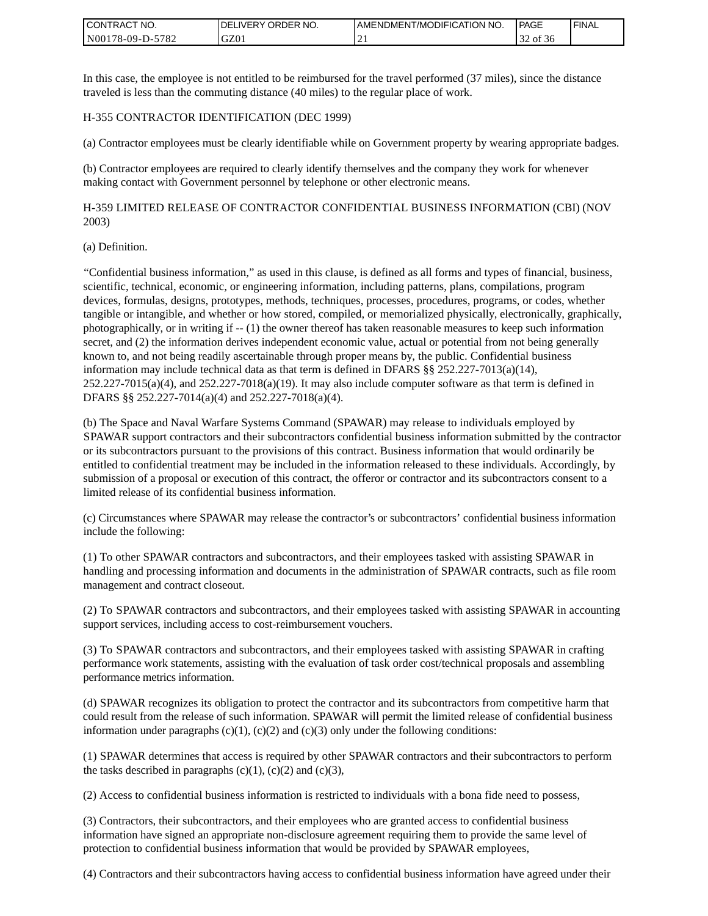| <b>I CONTRACT NO.</b>       | `NO.<br>DELIVERY ORDER | AMENDMENT/MODIFICATION NO. | PAGE   | <b>I FINAL</b> |
|-----------------------------|------------------------|----------------------------|--------|----------------|
| 5782<br>N001<br>$78-09-D$ - | GZ01                   | . .                        | -of 36 |                |

In this case, the employee is not entitled to be reimbursed for the travel performed (37 miles), since the distance traveled is less than the commuting distance (40 miles) to the regular place of work.

#### H-355 CONTRACTOR IDENTIFICATION (DEC 1999)

(a) Contractor employees must be clearly identifiable while on Government property by wearing appropriate badges.

(b) Contractor employees are required to clearly identify themselves and the company they work for whenever making contact with Government personnel by telephone or other electronic means.

H-359 LIMITED RELEASE OF CONTRACTOR CONFIDENTIAL BUSINESS INFORMATION (CBI) (NOV 2003)

#### (a) Definition.

"Confidential business information," as used in this clause, is defined as all forms and types of financial, business, scientific, technical, economic, or engineering information, including patterns, plans, compilations, program devices, formulas, designs, prototypes, methods, techniques, processes, procedures, programs, or codes, whether tangible or intangible, and whether or how stored, compiled, or memorialized physically, electronically, graphically, photographically, or in writing if -- (1) the owner thereof has taken reasonable measures to keep such information secret, and (2) the information derives independent economic value, actual or potential from not being generally known to, and not being readily ascertainable through proper means by, the public. Confidential business information may include technical data as that term is defined in DFARS  $\S$ § 252.227-7013(a)(14),  $252.227-7015(a)(4)$ , and  $252.227-7018(a)(19)$ . It may also include computer software as that term is defined in DFARS §§ 252.227-7014(a)(4) and 252.227-7018(a)(4).

(b) The Space and Naval Warfare Systems Command (SPAWAR) may release to individuals employed by SPAWAR support contractors and their subcontractors confidential business information submitted by the contractor or its subcontractors pursuant to the provisions of this contract. Business information that would ordinarily be entitled to confidential treatment may be included in the information released to these individuals. Accordingly, by submission of a proposal or execution of this contract, the offeror or contractor and its subcontractors consent to a limited release of its confidential business information.

(c) Circumstances where SPAWAR may release the contractor's or subcontractors' confidential business information include the following:

(1) To other SPAWAR contractors and subcontractors, and their employees tasked with assisting SPAWAR in handling and processing information and documents in the administration of SPAWAR contracts, such as file room management and contract closeout.

(2) To SPAWAR contractors and subcontractors, and their employees tasked with assisting SPAWAR in accounting support services, including access to cost-reimbursement vouchers.

(3) To SPAWAR contractors and subcontractors, and their employees tasked with assisting SPAWAR in crafting performance work statements, assisting with the evaluation of task order cost/technical proposals and assembling performance metrics information.

(d) SPAWAR recognizes its obligation to protect the contractor and its subcontractors from competitive harm that could result from the release of such information. SPAWAR will permit the limited release of confidential business information under paragraphs  $(c)(1)$ ,  $(c)(2)$  and  $(c)(3)$  only under the following conditions:

(1) SPAWAR determines that access is required by other SPAWAR contractors and their subcontractors to perform the tasks described in paragraphs  $(c)(1)$ ,  $(c)(2)$  and  $(c)(3)$ ,

(2) Access to confidential business information is restricted to individuals with a bona fide need to possess,

(3) Contractors, their subcontractors, and their employees who are granted access to confidential business information have signed an appropriate non-disclosure agreement requiring them to provide the same level of protection to confidential business information that would be provided by SPAWAR employees,

(4) Contractors and their subcontractors having access to confidential business information have agreed under their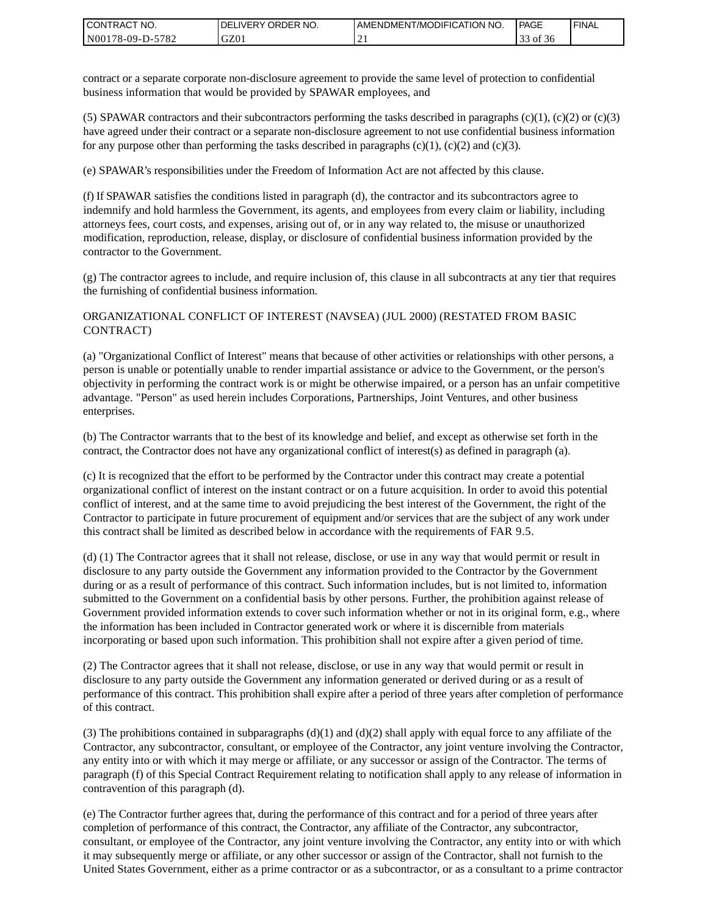| I CONTRACT NO.   | DELIVERY ORDER NO. | AMENDMENT/MODIFICATION NO. | PAGE  | ' FINAL |
|------------------|--------------------|----------------------------|-------|---------|
| N00178-09-D-5782 | GZ01               |                            | of 36 |         |

contract or a separate corporate non-disclosure agreement to provide the same level of protection to confidential business information that would be provided by SPAWAR employees, and

(5) SPAWAR contractors and their subcontractors performing the tasks described in paragraphs  $(c)(1)$ ,  $(c)(2)$  or  $(c)(3)$ have agreed under their contract or a separate non-disclosure agreement to not use confidential business information for any purpose other than performing the tasks described in paragraphs  $(c)(1)$ ,  $(c)(2)$  and  $(c)(3)$ .

(e) SPAWAR's responsibilities under the Freedom of Information Act are not affected by this clause.

(f) If SPAWAR satisfies the conditions listed in paragraph (d), the contractor and its subcontractors agree to indemnify and hold harmless the Government, its agents, and employees from every claim or liability, including attorneys fees, court costs, and expenses, arising out of, or in any way related to, the misuse or unauthorized modification, reproduction, release, display, or disclosure of confidential business information provided by the contractor to the Government.

(g) The contractor agrees to include, and require inclusion of, this clause in all subcontracts at any tier that requires the furnishing of confidential business information.

#### ORGANIZATIONAL CONFLICT OF INTEREST (NAVSEA) (JUL 2000) (RESTATED FROM BASIC CONTRACT)

(a) "Organizational Conflict of Interest" means that because of other activities or relationships with other persons, a person is unable or potentially unable to render impartial assistance or advice to the Government, or the person's objectivity in performing the contract work is or might be otherwise impaired, or a person has an unfair competitive advantage. "Person" as used herein includes Corporations, Partnerships, Joint Ventures, and other business enterprises.

(b) The Contractor warrants that to the best of its knowledge and belief, and except as otherwise set forth in the contract, the Contractor does not have any organizational conflict of interest(s) as defined in paragraph (a).

(c) It is recognized that the effort to be performed by the Contractor under this contract may create a potential organizational conflict of interest on the instant contract or on a future acquisition. In order to avoid this potential conflict of interest, and at the same time to avoid prejudicing the best interest of the Government, the right of the Contractor to participate in future procurement of equipment and/or services that are the subject of any work under this contract shall be limited as described below in accordance with the requirements of FAR 9.5.

(d) (1) The Contractor agrees that it shall not release, disclose, or use in any way that would permit or result in disclosure to any party outside the Government any information provided to the Contractor by the Government during or as a result of performance of this contract. Such information includes, but is not limited to, information submitted to the Government on a confidential basis by other persons. Further, the prohibition against release of Government provided information extends to cover such information whether or not in its original form, e.g., where the information has been included in Contractor generated work or where it is discernible from materials incorporating or based upon such information. This prohibition shall not expire after a given period of time.

(2) The Contractor agrees that it shall not release, disclose, or use in any way that would permit or result in disclosure to any party outside the Government any information generated or derived during or as a result of performance of this contract. This prohibition shall expire after a period of three years after completion of performance of this contract.

(3) The prohibitions contained in subparagraphs  $(d)(1)$  and  $(d)(2)$  shall apply with equal force to any affiliate of the Contractor, any subcontractor, consultant, or employee of the Contractor, any joint venture involving the Contractor, any entity into or with which it may merge or affiliate, or any successor or assign of the Contractor. The terms of paragraph (f) of this Special Contract Requirement relating to notification shall apply to any release of information in contravention of this paragraph (d).

(e) The Contractor further agrees that, during the performance of this contract and for a period of three years after completion of performance of this contract, the Contractor, any affiliate of the Contractor, any subcontractor, consultant, or employee of the Contractor, any joint venture involving the Contractor, any entity into or with which it may subsequently merge or affiliate, or any other successor or assign of the Contractor, shall not furnish to the United States Government, either as a prime contractor or as a subcontractor, or as a consultant to a prime contractor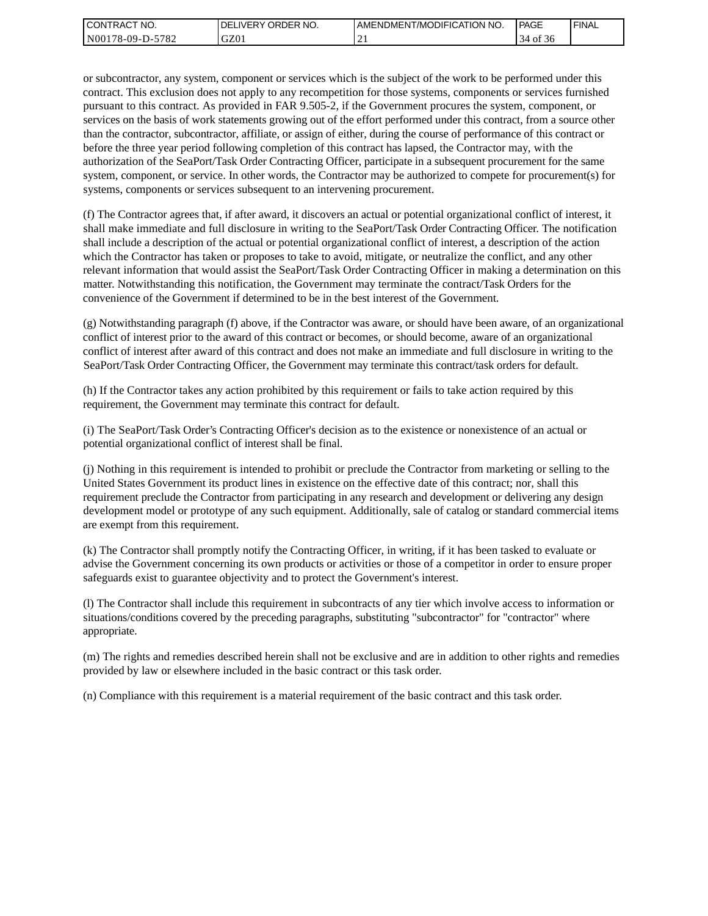| I CONTRACT NO.   | <b>IDELIVERY ORDER NO.</b> | AMENDMENT/MODIFICATION NO. | PAGE      | ' FINAL |
|------------------|----------------------------|----------------------------|-----------|---------|
| N00178-09-D-5782 | GZ01                       |                            | 0Ť<br>-56 |         |

or subcontractor, any system, component or services which is the subject of the work to be performed under this contract. This exclusion does not apply to any recompetition for those systems, components or services furnished pursuant to this contract. As provided in FAR 9.505-2, if the Government procures the system, component, or services on the basis of work statements growing out of the effort performed under this contract, from a source other than the contractor, subcontractor, affiliate, or assign of either, during the course of performance of this contract or before the three year period following completion of this contract has lapsed, the Contractor may, with the authorization of the SeaPort/Task Order Contracting Officer, participate in a subsequent procurement for the same system, component, or service. In other words, the Contractor may be authorized to compete for procurement(s) for systems, components or services subsequent to an intervening procurement.

(f) The Contractor agrees that, if after award, it discovers an actual or potential organizational conflict of interest, it shall make immediate and full disclosure in writing to the SeaPort/Task Order Contracting Officer. The notification shall include a description of the actual or potential organizational conflict of interest, a description of the action which the Contractor has taken or proposes to take to avoid, mitigate, or neutralize the conflict, and any other relevant information that would assist the SeaPort/Task Order Contracting Officer in making a determination on this matter. Notwithstanding this notification, the Government may terminate the contract/Task Orders for the convenience of the Government if determined to be in the best interest of the Government.

(g) Notwithstanding paragraph (f) above, if the Contractor was aware, or should have been aware, of an organizational conflict of interest prior to the award of this contract or becomes, or should become, aware of an organizational conflict of interest after award of this contract and does not make an immediate and full disclosure in writing to the SeaPort/Task Order Contracting Officer, the Government may terminate this contract/task orders for default.

(h) If the Contractor takes any action prohibited by this requirement or fails to take action required by this requirement, the Government may terminate this contract for default.

(i) The SeaPort/Task Order's Contracting Officer's decision as to the existence or nonexistence of an actual or potential organizational conflict of interest shall be final.

(j) Nothing in this requirement is intended to prohibit or preclude the Contractor from marketing or selling to the United States Government its product lines in existence on the effective date of this contract; nor, shall this requirement preclude the Contractor from participating in any research and development or delivering any design development model or prototype of any such equipment. Additionally, sale of catalog or standard commercial items are exempt from this requirement.

(k) The Contractor shall promptly notify the Contracting Officer, in writing, if it has been tasked to evaluate or advise the Government concerning its own products or activities or those of a competitor in order to ensure proper safeguards exist to guarantee objectivity and to protect the Government's interest.

(l) The Contractor shall include this requirement in subcontracts of any tier which involve access to information or situations/conditions covered by the preceding paragraphs, substituting "subcontractor" for "contractor" where appropriate.

(m) The rights and remedies described herein shall not be exclusive and are in addition to other rights and remedies provided by law or elsewhere included in the basic contract or this task order.

(n) Compliance with this requirement is a material requirement of the basic contract and this task order.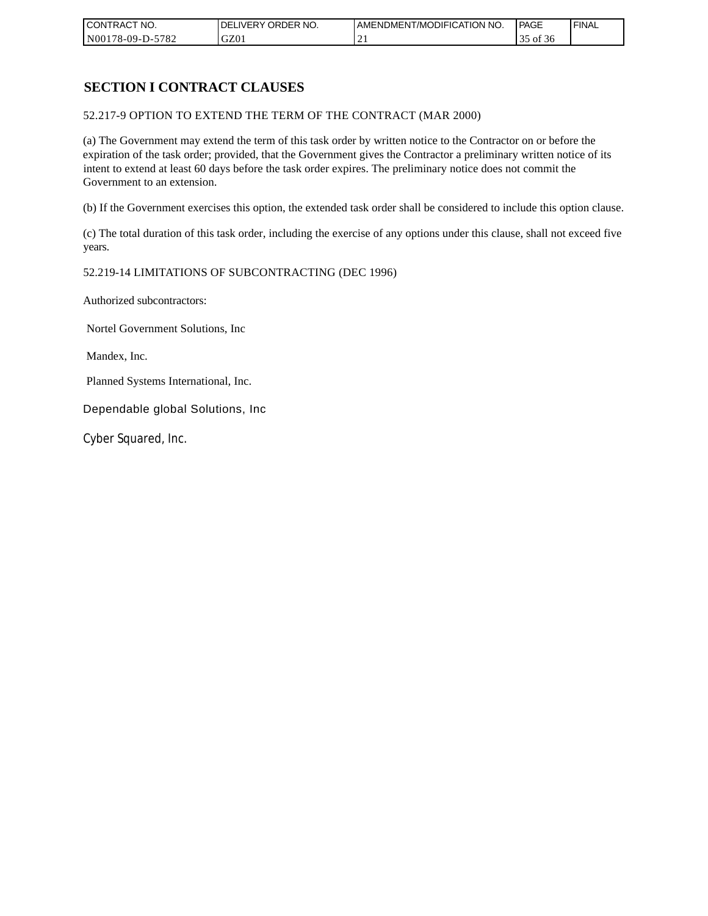| CONTRACT NO.     | `NO.<br><b>DELIVERY ORDER</b> | AMENDMENT/MODIFICATION<br>' NO. | PAGE  | 'FINAL |
|------------------|-------------------------------|---------------------------------|-------|--------|
| N00178-09-D-5782 | GZ01                          |                                 | of 36 |        |

# **SECTION I CONTRACT CLAUSES**

52.217-9 OPTION TO EXTEND THE TERM OF THE CONTRACT (MAR 2000)

(a) The Government may extend the term of this task order by written notice to the Contractor on or before the expiration of the task order; provided, that the Government gives the Contractor a preliminary written notice of its intent to extend at least 60 days before the task order expires. The preliminary notice does not commit the Government to an extension.

(b) If the Government exercises this option, the extended task order shall be considered to include this option clause.

(c) The total duration of this task order, including the exercise of any options under this clause, shall not exceed five years.

#### 52.219-14 LIMITATIONS OF SUBCONTRACTING (DEC 1996)

Authorized subcontractors:

Nortel Government Solutions, Inc

Mandex, Inc.

Planned Systems International, Inc.

Dependable global Solutions, Inc

Cyber Squared, Inc.